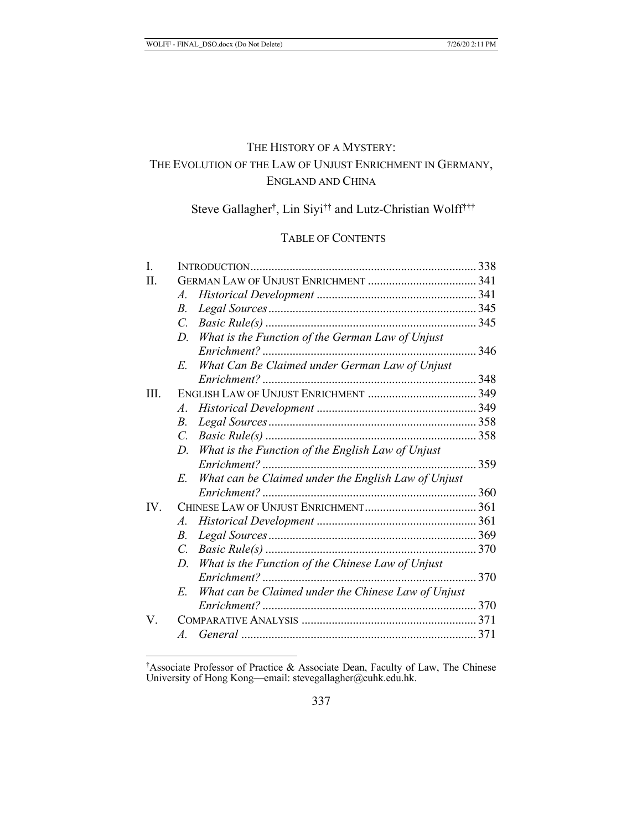# THE HISTORY OF A MYSTERY: THE EVOLUTION OF THE LAW OF UNJUST ENRICHMENT IN GERMANY, ENGLAND AND CHINA

# Steve Gallagher† , Lin Siyi†† and Lutz-Christian Wolff†††

# TABLE OF CONTENTS

| I.      |                 |                                                     |      |
|---------|-----------------|-----------------------------------------------------|------|
| $\Pi$ . |                 |                                                     |      |
|         | $A_{\cdot}$     |                                                     |      |
|         | <i>B</i> .      |                                                     |      |
|         | $\mathcal{C}$ . |                                                     |      |
|         | D.              | What is the Function of the German Law of Unjust    |      |
|         |                 | 346                                                 |      |
|         | E.              | What Can Be Claimed under German Law of Unjust      |      |
|         |                 |                                                     |      |
| III.    |                 |                                                     |      |
|         | $\mathcal{A}$ . |                                                     |      |
|         | <i>B</i> .      |                                                     |      |
|         | C.              |                                                     |      |
|         | D.              | What is the Function of the English Law of Unjust   |      |
|         |                 | $Enrichment?$                                       | 359  |
|         | $E_{\cdot}$     | What can be Claimed under the English Law of Unjust |      |
|         |                 |                                                     |      |
| IV.     |                 |                                                     |      |
|         | $A_{\cdot}$     |                                                     |      |
|         | <i>B</i> .      |                                                     |      |
|         | $\overline{C}$  |                                                     |      |
|         | D.              | What is the Function of the Chinese Law of Unjust   |      |
|         |                 |                                                     | .370 |
|         | E.              | What can be Claimed under the Chinese Law of Unjust |      |
|         |                 |                                                     | 370  |
| V.      |                 |                                                     |      |
|         | $A_{\cdot}$     |                                                     |      |
|         |                 |                                                     |      |

<sup>†</sup> Associate Professor of Practice & Associate Dean, Faculty of Law, The Chinese University of Hong Kong—email: stevegallagher@cuhk.edu.hk.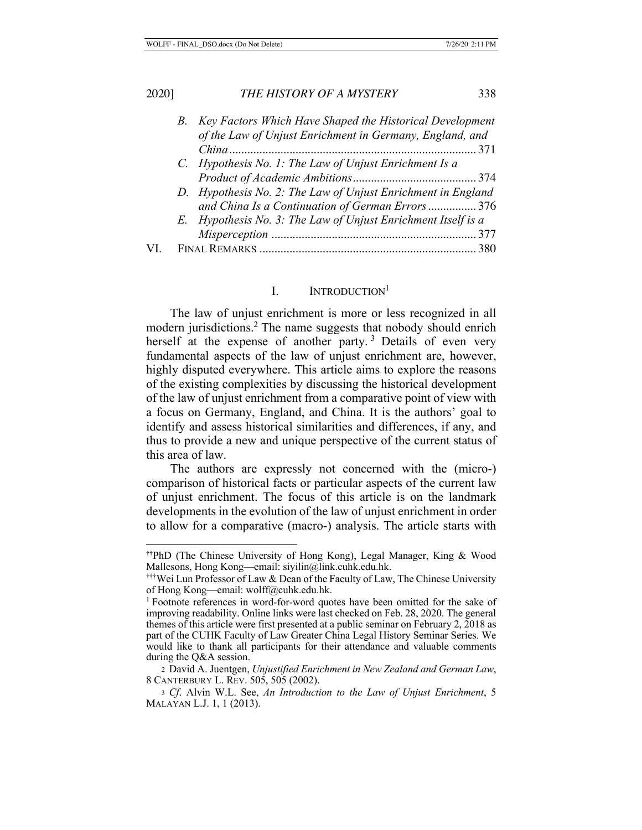| 2020] | THE HISTORY OF A MYSTERY                                      | 338  |
|-------|---------------------------------------------------------------|------|
|       | B. Key Factors Which Have Shaped the Historical Development   |      |
|       | of the Law of Unjust Enrichment in Germany, England, and      |      |
|       |                                                               | -371 |
|       | C. Hypothesis No. 1: The Law of Unjust Enrichment Is a        |      |
|       |                                                               |      |
|       | D. Hypothesis No. 2: The Law of Unjust Enrichment in England  |      |
|       | and China Is a Continuation of German Errors376               |      |
|       | E. Hypothesis No. 3: The Law of Unjust Enrichment Itself is a |      |
|       |                                                               |      |
|       | 380                                                           |      |

## I. INTRODUCTION<sup>1</sup>

The law of unjust enrichment is more or less recognized in all modern jurisdictions.2 The name suggests that nobody should enrich herself at the expense of another party.<sup>3</sup> Details of even very fundamental aspects of the law of unjust enrichment are, however, highly disputed everywhere. This article aims to explore the reasons of the existing complexities by discussing the historical development of the law of unjust enrichment from a comparative point of view with a focus on Germany, England, and China. It is the authors' goal to identify and assess historical similarities and differences, if any, and thus to provide a new and unique perspective of the current status of this area of law.

The authors are expressly not concerned with the (micro-) comparison of historical facts or particular aspects of the current law of unjust enrichment. The focus of this article is on the landmark developments in the evolution of the law of unjust enrichment in order to allow for a comparative (macro-) analysis. The article starts with

<sup>††</sup>PhD (The Chinese University of Hong Kong), Legal Manager, King & Wood Mallesons, Hong Kong—email: siyilin@link.cuhk.edu.hk.

<sup>†††</sup>Wei Lun Professor of Law & Dean of the Faculty of Law, The Chinese University of Hong Kong—email: wolff@cuhk.edu.hk.

<sup>&</sup>lt;sup>1</sup> Footnote references in word-for-word quotes have been omitted for the sake of improving readability. Online links were last checked on Feb. 28, 2020. The general themes of this article were first presented at a public seminar on February 2, 2018 as part of the CUHK Faculty of Law Greater China Legal History Seminar Series. We would like to thank all participants for their attendance and valuable comments during the Q&A session.

<sup>2</sup> David A. Juentgen, *Unjustified Enrichment in New Zealand and German Law*, 8 CANTERBURY L. REV. 505, 505 (2002).

<sup>3</sup> *Cf*. Alvin W.L. See, *An Introduction to the Law of Unjust Enrichment*, 5 MALAYAN L.J. 1, 1 (2013).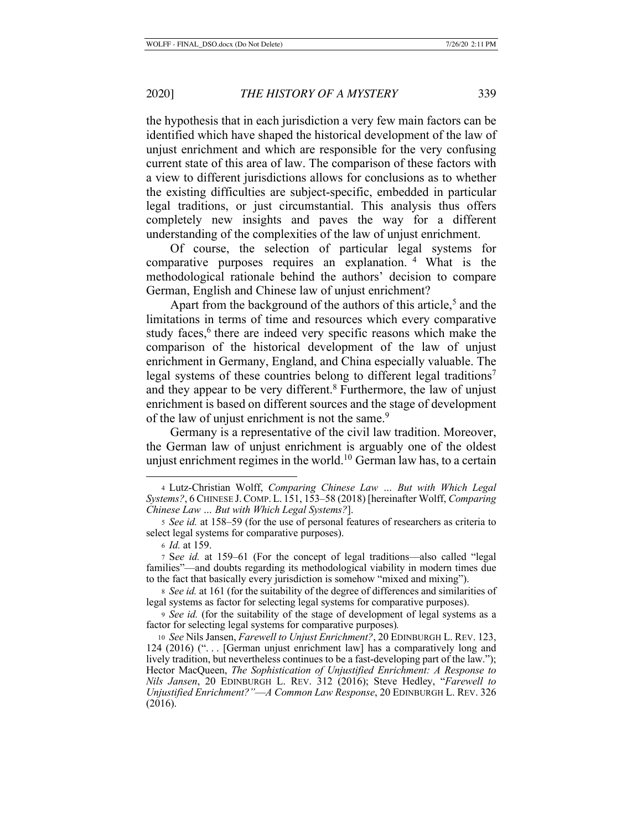the hypothesis that in each jurisdiction a very few main factors can be identified which have shaped the historical development of the law of unjust enrichment and which are responsible for the very confusing current state of this area of law. The comparison of these factors with a view to different jurisdictions allows for conclusions as to whether the existing difficulties are subject-specific, embedded in particular legal traditions, or just circumstantial. This analysis thus offers completely new insights and paves the way for a different understanding of the complexities of the law of unjust enrichment.

Of course, the selection of particular legal systems for comparative purposes requires an explanation. 4 What is the methodological rationale behind the authors' decision to compare German, English and Chinese law of unjust enrichment?

Apart from the background of the authors of this article,<sup>5</sup> and the limitations in terms of time and resources which every comparative study faces,<sup>6</sup> there are indeed very specific reasons which make the comparison of the historical development of the law of unjust enrichment in Germany, England, and China especially valuable. The legal systems of these countries belong to different legal traditions<sup>7</sup> and they appear to be very different.<sup>8</sup> Furthermore, the law of unjust enrichment is based on different sources and the stage of development of the law of unjust enrichment is not the same.<sup>9</sup>

Germany is a representative of the civil law tradition. Moreover, the German law of unjust enrichment is arguably one of the oldest unjust enrichment regimes in the world.<sup>10</sup> German law has, to a certain

<sup>9</sup> *See id.* (for the suitability of the stage of development of legal systems as a factor for selecting legal systems for comparative purposes)*.*

<sup>4</sup> Lutz-Christian Wolff, *Comparing Chinese Law … But with Which Legal Systems?*, 6 CHINESE J.COMP. L. 151, 153–58 (2018) [hereinafter Wolff, *Comparing Chinese Law … But with Which Legal Systems?*].

<sup>5</sup> *See id.* at 158–59 (for the use of personal features of researchers as criteria to select legal systems for comparative purposes).

<sup>6</sup> *Id.* at 159.

<sup>7</sup> S*ee id.* at 159–61 (For the concept of legal traditions—also called "legal families"—and doubts regarding its methodological viability in modern times due to the fact that basically every jurisdiction is somehow "mixed and mixing").

<sup>8</sup> *See id.* at 161 (for the suitability of the degree of differences and similarities of legal systems as factor for selecting legal systems for comparative purposes).

<sup>10</sup> *See* Nils Jansen, *Farewell to Unjust Enrichment?*, 20 EDINBURGH L. REV. 123, 124 (2016) ("... [German unjust enrichment law] has a comparatively long and lively tradition, but nevertheless continues to be a fast-developing part of the law."); Hector MacQueen, *The Sophistication of Unjustified Enrichment: A Response to Nils Jansen*, 20 EDINBURGH L. REV. 312 (2016); Steve Hedley, "*Farewell to Unjustified Enrichment?"*—*A Common Law Response*, 20 EDINBURGH L. REV. 326 (2016).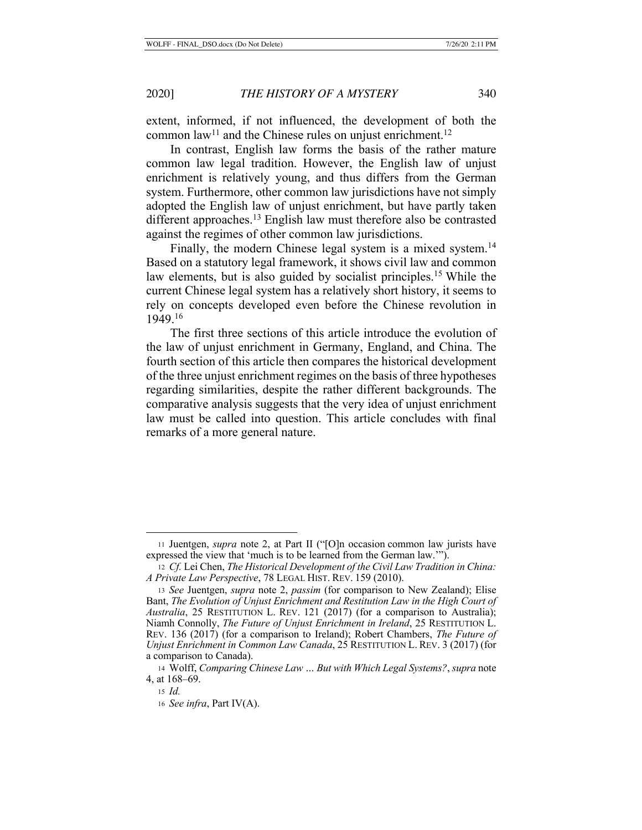extent, informed, if not influenced, the development of both the common law<sup>11</sup> and the Chinese rules on unjust enrichment.<sup>12</sup>

In contrast, English law forms the basis of the rather mature common law legal tradition. However, the English law of unjust enrichment is relatively young, and thus differs from the German system. Furthermore, other common law jurisdictions have not simply adopted the English law of unjust enrichment, but have partly taken different approaches.<sup>13</sup> English law must therefore also be contrasted against the regimes of other common law jurisdictions.

Finally, the modern Chinese legal system is a mixed system.<sup>14</sup> Based on a statutory legal framework, it shows civil law and common law elements, but is also guided by socialist principles.<sup>15</sup> While the current Chinese legal system has a relatively short history, it seems to rely on concepts developed even before the Chinese revolution in 1949.16

The first three sections of this article introduce the evolution of the law of unjust enrichment in Germany, England, and China. The fourth section of this article then compares the historical development of the three unjust enrichment regimes on the basis of three hypotheses regarding similarities, despite the rather different backgrounds. The comparative analysis suggests that the very idea of unjust enrichment law must be called into question. This article concludes with final remarks of a more general nature.

<sup>11</sup> Juentgen, *supra* note 2, at Part II ("[O]n occasion common law jurists have expressed the view that 'much is to be learned from the German law.'").

<sup>12</sup> *Cf.* Lei Chen, *The Historical Development of the Civil Law Tradition in China: A Private Law Perspective*, 78 LEGAL HIST. REV. 159 (2010).

<sup>13</sup> *See* Juentgen, *supra* note 2, *passim* (for comparison to New Zealand); Elise Bant, *The Evolution of Unjust Enrichment and Restitution Law in the High Court of Australia*, 25 RESTITUTION L. REV. 121 (2017) (for a comparison to Australia); Niamh Connolly, *The Future of Unjust Enrichment in Ireland*, 25 RESTITUTION L. REV. 136 (2017) (for a comparison to Ireland); Robert Chambers, *The Future of Unjust Enrichment in Common Law Canada*, 25 RESTITUTION L. REV. 3 (2017) (for a comparison to Canada).

<sup>14</sup> Wolff, *Comparing Chinese Law … But with Which Legal Systems?*, *supra* note 4, at 168–69.

<sup>15</sup> *Id.*

<sup>16</sup> *See infra*, Part IV(A).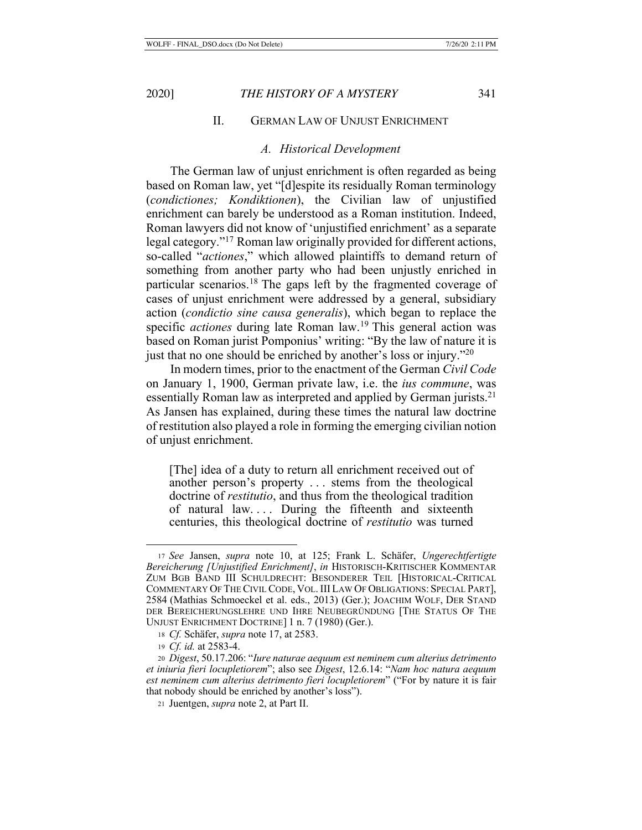# II. GERMAN LAW OF UNJUST ENRICHMENT

#### *A. Historical Development*

The German law of unjust enrichment is often regarded as being based on Roman law, yet "[d]espite its residually Roman terminology (*condictiones; Kondiktionen*), the Civilian law of unjustified enrichment can barely be understood as a Roman institution. Indeed, Roman lawyers did not know of 'unjustified enrichment' as a separate legal category."17 Roman law originally provided for different actions, so-called "*actiones*," which allowed plaintiffs to demand return of something from another party who had been unjustly enriched in particular scenarios.18 The gaps left by the fragmented coverage of cases of unjust enrichment were addressed by a general, subsidiary action (*condictio sine causa generalis*), which began to replace the specific *actiones* during late Roman law.<sup>19</sup> This general action was based on Roman jurist Pomponius' writing: "By the law of nature it is just that no one should be enriched by another's loss or injury."<sup>20</sup>

In modern times, prior to the enactment of the German *Civil Code* on January 1, 1900, German private law, i.e. the *ius commune*, was essentially Roman law as interpreted and applied by German jurists.<sup>21</sup> As Jansen has explained, during these times the natural law doctrine of restitution also played a role in forming the emerging civilian notion of unjust enrichment.

[The] idea of a duty to return all enrichment received out of another person's property . . . stems from the theological doctrine of *restitutio*, and thus from the theological tradition of natural law.... During the fifteenth and sixteenth centuries, this theological doctrine of *restitutio* was turned

<sup>17</sup> *See* Jansen, *supra* note 10, at 125; Frank L. Schäfer, *Ungerechtfertigte Bereicherung [Unjustified Enrichment]*, *in* HISTORISCH-KRITISCHER KOMMENTAR ZUM BGB BAND III SCHULDRECHT: BESONDERER TEIL [HISTORICAL-CRITICAL COMMENTARY OF THE CIVIL CODE, VOL.III LAW OF OBLIGATIONS: SPECIAL PART], 2584 (Mathias Schmoeckel et al. eds., 2013) (Ger.); JOACHIM WOLF, DER STAND DER BEREICHERUNGSLEHRE UND IHRE NEUBEGRÜNDUNG [THE STATUS OF THE UNJUST ENRICHMENT DOCTRINE] 1 n. 7 (1980) (Ger.).

<sup>18</sup> *Cf.* Schäfer, *supra* note 17, at 2583.

<sup>19</sup> *Cf. id.* at 2583-4.

<sup>20</sup> *Digest*, 50.17.206: "*Iure naturae aequum est neminem cum alterius detrimento et iniuria fieri locupletiorem*"; also see *Digest*, 12.6.14: "*Nam hoc natura aequum est neminem cum alterius detrimento fieri locupletiorem*" ("For by nature it is fair that nobody should be enriched by another's loss").

<sup>21</sup> Juentgen, *supra* note 2, at Part II.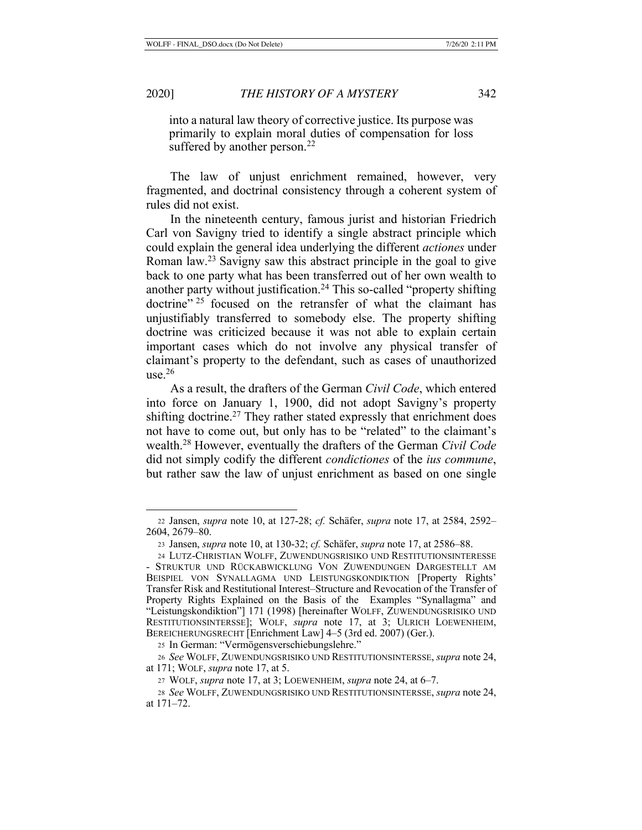into a natural law theory of corrective justice. Its purpose was primarily to explain moral duties of compensation for loss suffered by another person.<sup>22</sup>

The law of unjust enrichment remained, however, very fragmented, and doctrinal consistency through a coherent system of rules did not exist.

In the nineteenth century, famous jurist and historian Friedrich Carl von Savigny tried to identify a single abstract principle which could explain the general idea underlying the different *actiones* under Roman law.23 Savigny saw this abstract principle in the goal to give back to one party what has been transferred out of her own wealth to another party without justification.24 This so-called "property shifting doctrine"<sup>25</sup> focused on the retransfer of what the claimant has unjustifiably transferred to somebody else. The property shifting doctrine was criticized because it was not able to explain certain important cases which do not involve any physical transfer of claimant's property to the defendant, such as cases of unauthorized use. $26$ 

As a result, the drafters of the German *Civil Code*, which entered into force on January 1, 1900, did not adopt Savigny's property shifting doctrine.<sup>27</sup> They rather stated expressly that enrichment does not have to come out, but only has to be "related" to the claimant's wealth.28 However, eventually the drafters of the German *Civil Code* did not simply codify the different *condictiones* of the *ius commune*, but rather saw the law of unjust enrichment as based on one single

<sup>22</sup> Jansen, *supra* note 10, at 127-28; *cf.* Schäfer, *supra* note 17, at 2584, 2592– 2604, 2679–80.

<sup>23</sup> Jansen, *supra* note 10, at 130-32; *cf.* Schäfer, *supra* note 17, at 2586–88.

<sup>24</sup> LUTZ-CHRISTIAN WOLFF, ZUWENDUNGSRISIKO UND RESTITUTIONSINTERESSE - STRUKTUR UND RÜCKABWICKLUNG VON ZUWENDUNGEN DARGESTELLT AM BEISPIEL VON SYNALLAGMA UND LEISTUNGSKONDIKTION [Property Rights' Transfer Risk and Restitutional Interest–Structure and Revocation of the Transfer of Property Rights Explained on the Basis of the Examples "Synallagma" and "Leistungskondiktion"] 171 (1998) [hereinafter WOLFF, ZUWENDUNGSRISIKO UND RESTITUTIONSINTERSSE]; WOLF, *supra* note 17, at 3; ULRICH LOEWENHEIM, BEREICHERUNGSRECHT [Enrichment Law] 4–5 (3rd ed. 2007) (Ger.).

<sup>25</sup> In German: "Vermögensverschiebungslehre."

<sup>26</sup> *See* WOLFF, ZUWENDUNGSRISIKO UND RESTITUTIONSINTERSSE, *supra* note 24, at 171; WOLF, *supra* note 17, at 5.

<sup>27</sup> WOLF, *supra* note 17, at 3; LOEWENHEIM, *supra* note 24, at 6–7.

<sup>28</sup> *See* WOLFF, ZUWENDUNGSRISIKO UND RESTITUTIONSINTERSSE, *supra* note 24, at 171–72.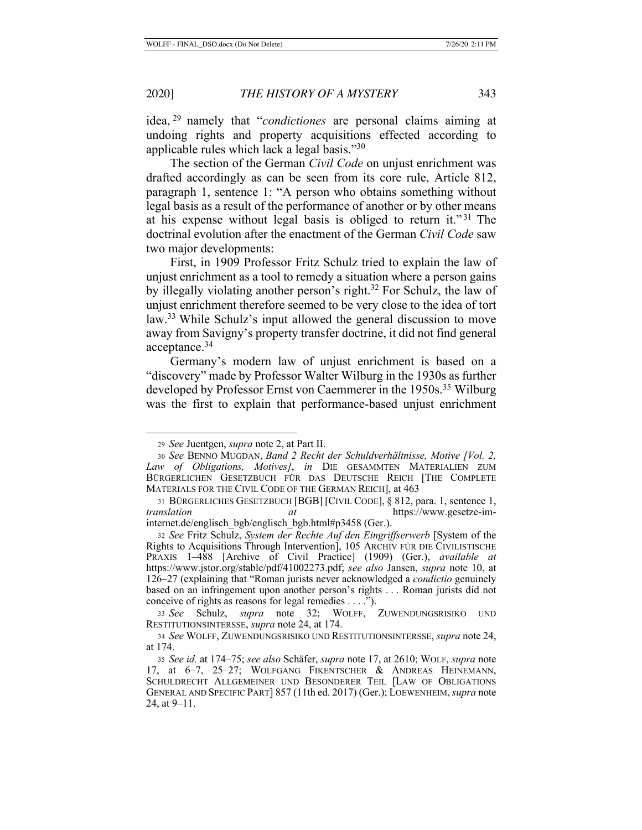idea, 29 namely that "*condictiones* are personal claims aiming at undoing rights and property acquisitions effected according to applicable rules which lack a legal basis."30

The section of the German *Civil Code* on unjust enrichment was drafted accordingly as can be seen from its core rule, Article 812, paragraph 1, sentence 1: "A person who obtains something without legal basis as a result of the performance of another or by other means at his expense without legal basis is obliged to return it."<sup>31</sup> The doctrinal evolution after the enactment of the German *Civil Code* saw two major developments:

First, in 1909 Professor Fritz Schulz tried to explain the law of unjust enrichment as a tool to remedy a situation where a person gains by illegally violating another person's right.<sup>32</sup> For Schulz, the law of unjust enrichment therefore seemed to be very close to the idea of tort law.33 While Schulz's input allowed the general discussion to move away from Savigny's property transfer doctrine, it did not find general acceptance.34

Germany's modern law of unjust enrichment is based on a "discovery" made by Professor Walter Wilburg in the 1930s as further developed by Professor Ernst von Caemmerer in the 1950s.<sup>35</sup> Wilburg was the first to explain that performance-based unjust enrichment

<sup>29</sup> *See* Juentgen, *supra* note 2, at Part II.

<sup>30</sup> *See* BENNO MUGDAN, *Band 2 Recht der Schuldverhältnisse, Motive [Vol. 2, Law of Obligations, Motives]*, *in* DIE GESAMMTEN MATERIALIEN ZUM BÜRGERLICHEN GESETZBUCH FÜR DAS DEUTSCHE REICH [THE COMPLETE MATERIALS FOR THE CIVIL CODE OF THE GERMAN REICH], at 463

<sup>31</sup> BÜRGERLICHES GESETZBUCH [BGB] [CIVIL CODE], § 812, para. 1, sentence 1, *translation at* https://www.gesetze-iminternet.de/englisch\_bgb/englisch\_bgb.html#p3458 (Ger.).

<sup>32</sup> *See* Fritz Schulz, *System der Rechte Auf den Eingriffserwerb* [System of the Rights to Acquisitions Through Intervention], 105 ARCHIV FÜR DIE CIVILISTISCHE PRAXIS 1–488 [Archive of Civil Practice] (1909) (Ger.), *available at*  https://www.jstor.org/stable/pdf/41002273.pdf; *see also* Jansen, *supra* note 10, at 126–27 (explaining that "Roman jurists never acknowledged a *condictio* genuinely based on an infringement upon another person's rights . . . Roman jurists did not conceive of rights as reasons for legal remedies . . . .").

<sup>33</sup> *See* Schulz, *supra* note 32; WOLFF, ZUWENDUNGSRISIKO UND RESTITUTIONSINTERSSE, *supra* note 24, at 174.

<sup>34</sup> *See* WOLFF, ZUWENDUNGSRISIKO UND RESTITUTIONSINTERSSE, *supra* note 24, at 174.

<sup>35</sup> *See id.* at 174–75; *see also* Schäfer, *supra* note 17, at 2610; WOLF, *supra* note 17, at 6–7, 25–27; WOLFGANG FIKENTSCHER & ANDREAS HEINEMANN, SCHULDRECHT ALLGEMEINER UND BESONDERER TEIL [LAW OF OBLIGATIONS GENERAL AND SPECIFIC PART] 857 (11th ed. 2017) (Ger.); LOEWENHEIM, *supra* note 24, at 9–11.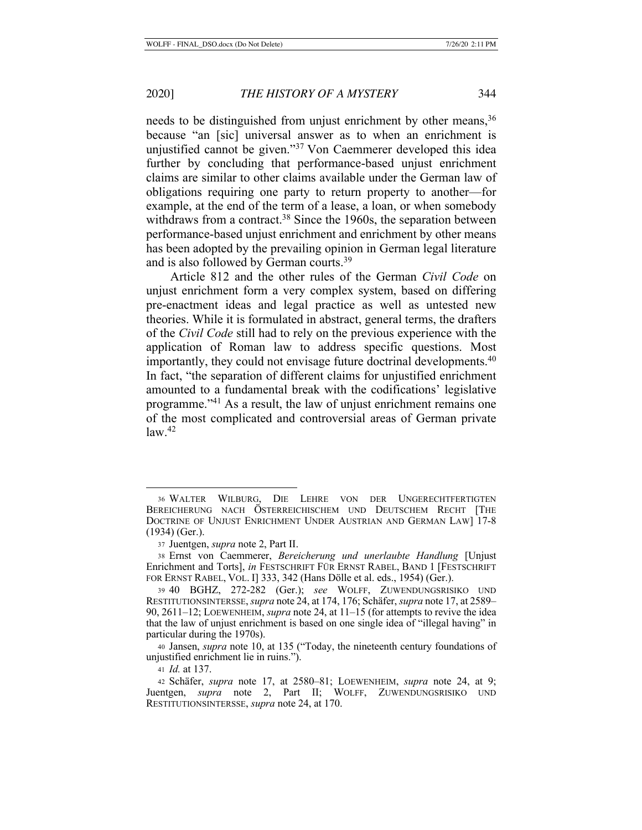needs to be distinguished from unjust enrichment by other means,<sup>36</sup> because "an [sic] universal answer as to when an enrichment is unjustified cannot be given."37 Von Caemmerer developed this idea further by concluding that performance-based unjust enrichment claims are similar to other claims available under the German law of obligations requiring one party to return property to another—for example, at the end of the term of a lease, a loan, or when somebody withdraws from a contract.<sup>38</sup> Since the 1960s, the separation between performance-based unjust enrichment and enrichment by other means has been adopted by the prevailing opinion in German legal literature and is also followed by German courts.<sup>39</sup>

Article 812 and the other rules of the German *Civil Code* on unjust enrichment form a very complex system, based on differing pre-enactment ideas and legal practice as well as untested new theories. While it is formulated in abstract, general terms, the drafters of the *Civil Code* still had to rely on the previous experience with the application of Roman law to address specific questions. Most importantly, they could not envisage future doctrinal developments.<sup>40</sup> In fact, "the separation of different claims for unjustified enrichment amounted to a fundamental break with the codifications' legislative programme."41 As a result, the law of unjust enrichment remains one of the most complicated and controversial areas of German private  $law.<sup>42</sup>$ 

<sup>36</sup> WALTER WILBURG, DIE LEHRE VON DER UNGERECHTFERTIGTEN BEREICHERUNG NACH ÖSTERREICHISCHEM UND DEUTSCHEM RECHT [THE DOCTRINE OF UNJUST ENRICHMENT UNDER AUSTRIAN AND GERMAN LAW] 17-8 (1934) (Ger.).

<sup>37</sup> Juentgen, *supra* note 2, Part II.

<sup>38</sup> Ernst von Caemmerer, *Bereicherung und unerlaubte Handlung* [Unjust Enrichment and Torts], *in* FESTSCHRIFT FÜR ERNST RABEL, BAND 1 [FESTSCHRIFT FOR ERNST RABEL, VOL. I] 333, 342 (Hans Dölle et al. eds., 1954) (Ger.).

<sup>39</sup> 40 BGHZ, 272-282 (Ger.); *see* WOLFF, ZUWENDUNGSRISIKO UND RESTITUTIONSINTERSSE, *supra* note 24, at 174, 176; Schäfer, *supra* note 17, at 2589– 90, 2611–12; LOEWENHEIM, *supra* note 24, at 11–15 (for attempts to revive the idea that the law of unjust enrichment is based on one single idea of "illegal having" in particular during the 1970s).

<sup>40</sup> Jansen, *supra* note 10, at 135 ("Today, the nineteenth century foundations of unjustified enrichment lie in ruins.").

<sup>41</sup> *Id.* at 137.

<sup>42</sup> Schäfer, *supra* note 17, at 2580–81; LOEWENHEIM, *supra* note 24, at 9; Juentgen, *supra* note 2, Part II; WOLFF, ZUWENDUNGSRISIKO UND RESTITUTIONSINTERSSE, *supra* note 24, at 170.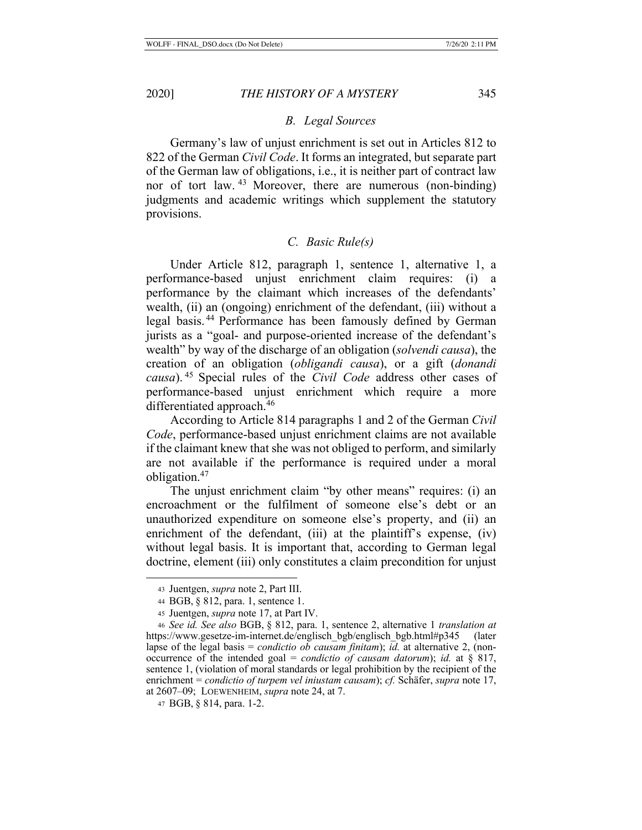### *B. Legal Sources*

Germany's law of unjust enrichment is set out in Articles 812 to 822 of the German *Civil Code*. It forms an integrated, but separate part of the German law of obligations, i.e., it is neither part of contract law nor of tort law. <sup>43</sup> Moreover, there are numerous (non-binding) judgments and academic writings which supplement the statutory provisions.

## *C. Basic Rule(s)*

Under Article 812, paragraph 1, sentence 1, alternative 1, a performance-based unjust enrichment claim requires: (i) a performance by the claimant which increases of the defendants' wealth, (ii) an (ongoing) enrichment of the defendant, (iii) without a legal basis. 44 Performance has been famously defined by German jurists as a "goal- and purpose-oriented increase of the defendant's wealth" by way of the discharge of an obligation (*solvendi causa*), the creation of an obligation (*obligandi causa*), or a gift (*donandi causa*). 45 Special rules of the *Civil Code* address other cases of performance-based unjust enrichment which require a more differentiated approach.46

According to Article 814 paragraphs 1 and 2 of the German *Civil Code*, performance-based unjust enrichment claims are not available if the claimant knew that she was not obliged to perform, and similarly are not available if the performance is required under a moral obligation.47

The unjust enrichment claim "by other means" requires: (i) an encroachment or the fulfilment of someone else's debt or an unauthorized expenditure on someone else's property, and (ii) an enrichment of the defendant, (iii) at the plaintiff's expense, (iv) without legal basis. It is important that, according to German legal doctrine, element (iii) only constitutes a claim precondition for unjust

<sup>43</sup> Juentgen, *supra* note 2, Part III.

<sup>44</sup> BGB, § 812, para. 1, sentence 1.

<sup>45</sup> Juentgen, *supra* note 17, at Part IV.

<sup>46</sup> *See id. See also* BGB, § 812, para. 1, sentence 2, alternative 1 *translation at*  https://www.gesetze-im-internet.de/englisch\_bgb/englisch\_bgb.html#p345 (later lapse of the legal basis = *condictio ob causam finitam*); *id.* at alternative 2, (nonoccurrence of the intended goal = *condictio of causam datorum*); *id.* at § 817, sentence 1, (violation of moral standards or legal prohibition by the recipient of the enrichment = *condictio of turpem vel iniustam causam*); *cf.* Schäfer, *supra* note 17, at 2607–09; LOEWENHEIM, *supra* note 24, at 7.

<sup>47</sup> BGB, § 814, para. 1-2.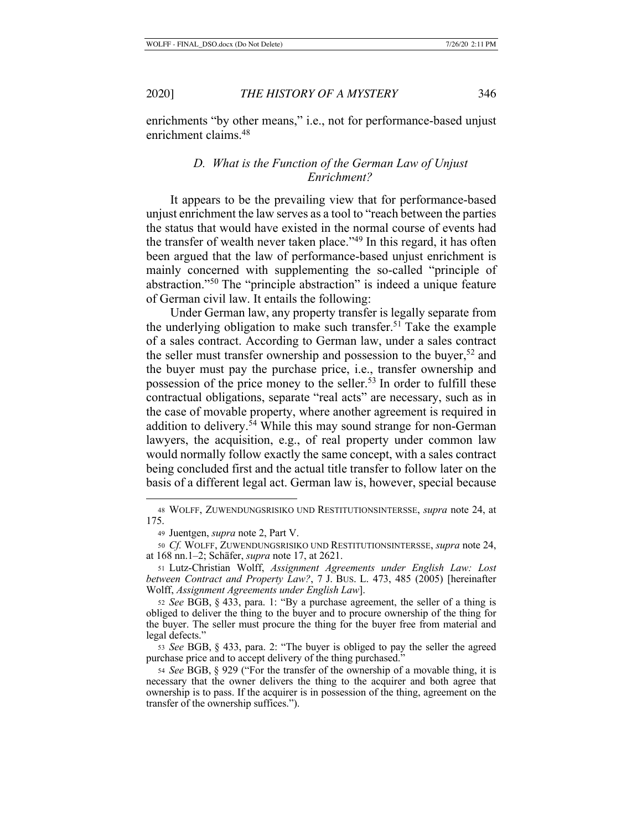enrichments "by other means," i.e., not for performance-based unjust enrichment claims.48

# *D. What is the Function of the German Law of Unjust Enrichment?*

It appears to be the prevailing view that for performance-based unjust enrichment the law serves as a tool to "reach between the parties the status that would have existed in the normal course of events had the transfer of wealth never taken place."49 In this regard, it has often been argued that the law of performance-based unjust enrichment is mainly concerned with supplementing the so-called "principle of abstraction."50 The "principle abstraction" is indeed a unique feature of German civil law. It entails the following:

Under German law, any property transfer is legally separate from the underlying obligation to make such transfer.<sup>51</sup> Take the example of a sales contract. According to German law, under a sales contract the seller must transfer ownership and possession to the buyer,<sup>52</sup> and the buyer must pay the purchase price, i.e., transfer ownership and possession of the price money to the seller.53 In order to fulfill these contractual obligations, separate "real acts" are necessary, such as in the case of movable property, where another agreement is required in addition to delivery.<sup>54</sup> While this may sound strange for non-German lawyers, the acquisition, e.g., of real property under common law would normally follow exactly the same concept, with a sales contract being concluded first and the actual title transfer to follow later on the basis of a different legal act. German law is, however, special because

<sup>48</sup> WOLFF, ZUWENDUNGSRISIKO UND RESTITUTIONSINTERSSE, *supra* note 24, at 175.

<sup>49</sup> Juentgen, *supra* note 2, Part V.

<sup>50</sup> *Cf.* WOLFF, ZUWENDUNGSRISIKO UND RESTITUTIONSINTERSSE, *supra* note 24, at 168 nn.1–2; Schäfer, *supra* note 17, at 2621.

<sup>51</sup> Lutz-Christian Wolff, *Assignment Agreements under English Law: Lost between Contract and Property Law?*, 7 J. BUS. L. 473, 485 (2005) [hereinafter Wolff, *Assignment Agreements under English Law*].

<sup>52</sup> *See* BGB, § 433, para. 1: "By a purchase agreement, the seller of a thing is obliged to deliver the thing to the buyer and to procure ownership of the thing for the buyer. The seller must procure the thing for the buyer free from material and legal defects."

<sup>53</sup> *See* BGB, § 433, para. 2: "The buyer is obliged to pay the seller the agreed purchase price and to accept delivery of the thing purchased."

<sup>54</sup> *See* BGB, § 929 ("For the transfer of the ownership of a movable thing, it is necessary that the owner delivers the thing to the acquirer and both agree that ownership is to pass. If the acquirer is in possession of the thing, agreement on the transfer of the ownership suffices.").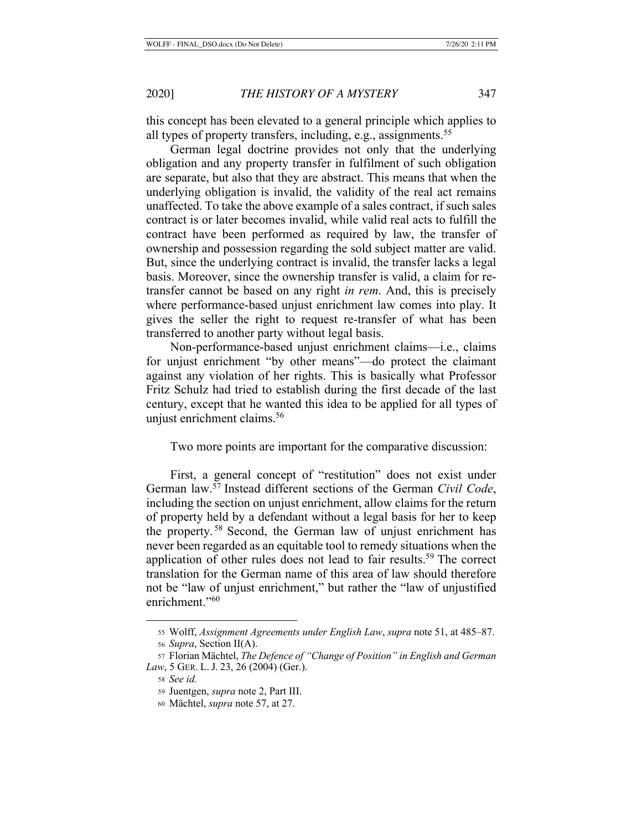this concept has been elevated to a general principle which applies to all types of property transfers, including, e.g., assignments.<sup>55</sup>

German legal doctrine provides not only that the underlying obligation and any property transfer in fulfilment of such obligation are separate, but also that they are abstract. This means that when the underlying obligation is invalid, the validity of the real act remains unaffected. To take the above example of a sales contract, if such sales contract is or later becomes invalid, while valid real acts to fulfill the contract have been performed as required by law, the transfer of ownership and possession regarding the sold subject matter are valid. But, since the underlying contract is invalid, the transfer lacks a legal basis. Moreover, since the ownership transfer is valid, a claim for retransfer cannot be based on any right *in rem*. And, this is precisely where performance-based unjust enrichment law comes into play. It gives the seller the right to request re-transfer of what has been transferred to another party without legal basis.

Non-performance-based unjust enrichment claims—i.e., claims for unjust enrichment "by other means"—do protect the claimant against any violation of her rights. This is basically what Professor Fritz Schulz had tried to establish during the first decade of the last century, except that he wanted this idea to be applied for all types of unjust enrichment claims.<sup>56</sup>

Two more points are important for the comparative discussion:

First, a general concept of "restitution" does not exist under German law.57 Instead different sections of the German *Civil Code*, including the section on unjust enrichment, allow claims for the return of property held by a defendant without a legal basis for her to keep the property. 58 Second, the German law of unjust enrichment has never been regarded as an equitable tool to remedy situations when the application of other rules does not lead to fair results.<sup>59</sup> The correct translation for the German name of this area of law should therefore not be "law of unjust enrichment," but rather the "law of unjustified enrichment."<sup>60</sup>

<sup>55</sup> Wolff, *Assignment Agreements under English Law*, *supra* note 51, at 485–87.

<sup>56</sup> *Supra*, Section II(A).

<sup>57</sup> Florian Mächtel, *The Defence of "Change of Position" in English and German Law*, 5 GER. L. J. 23, 26 (2004) (Ger.).

<sup>58</sup> *See id.*

<sup>59</sup> Juentgen, *supra* note 2, Part III.

<sup>60</sup> Mächtel, *supra* note 57, at 27.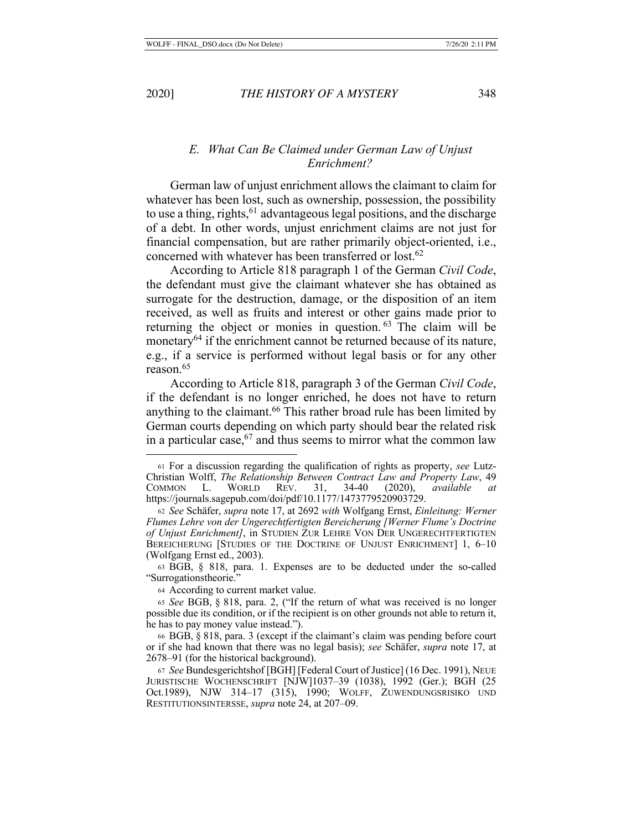# *E. What Can Be Claimed under German Law of Unjust Enrichment?*

German law of unjust enrichment allows the claimant to claim for whatever has been lost, such as ownership, possession, the possibility to use a thing, rights,  $61$  advantageous legal positions, and the discharge of a debt. In other words, unjust enrichment claims are not just for financial compensation, but are rather primarily object-oriented, i.e., concerned with whatever has been transferred or lost.62

According to Article 818 paragraph 1 of the German *Civil Code*, the defendant must give the claimant whatever she has obtained as surrogate for the destruction, damage, or the disposition of an item received, as well as fruits and interest or other gains made prior to returning the object or monies in question. 63 The claim will be monetary<sup>64</sup> if the enrichment cannot be returned because of its nature, e.g., if a service is performed without legal basis or for any other reason.<sup>65</sup>

According to Article 818, paragraph 3 of the German *Civil Code*, if the defendant is no longer enriched, he does not have to return anything to the claimant.<sup>66</sup> This rather broad rule has been limited by German courts depending on which party should bear the related risk in a particular case,  $67$  and thus seems to mirror what the common law

<sup>61</sup> For a discussion regarding the qualification of rights as property, *see* Lutz-Christian Wolff, *The Relationship Between Contract Law and Property Law*, 49 COMMON L. WORLD REV. 31, 34-40 (2020), *available at* https://journals.sagepub.com/doi/pdf/10.1177/1473779520903729.

<sup>62</sup> *See* Schäfer, *supra* note 17, at 2692 *with* Wolfgang Ernst, *Einleitung: Werner Flumes Lehre von der Ungerechtfertigten Bereicherung [Werner Flume's Doctrine of Unjust Enrichment]*, in STUDIEN ZUR LEHRE VON DER UNGERECHTFERTIGTEN BEREICHERUNG [STUDIES OF THE DOCTRINE OF UNJUST ENRICHMENT] 1, 6–10 (Wolfgang Ernst ed., 2003).

<sup>63</sup> BGB, § 818, para. 1. Expenses are to be deducted under the so-called "Surrogationstheorie."

<sup>64</sup> According to current market value.

<sup>65</sup> *See* BGB, § 818, para. 2, ("If the return of what was received is no longer possible due its condition, or if the recipient is on other grounds not able to return it, he has to pay money value instead.").

<sup>66</sup> BGB, § 818, para. 3 (except if the claimant's claim was pending before court or if she had known that there was no legal basis); *see* Schäfer, *supra* note 17, at 2678–91 (for the historical background).

<sup>67</sup> *See* Bundesgerichtshof [BGH] [Federal Court of Justice] (16 Dec. 1991), NEUE JURISTISCHE WOCHENSCHRIFT [NJW]1037–39 (1038), 1992 (Ger.); BGH (25 Oct.1989), NJW 314–17 (315), 1990; WOLFF, ZUWENDUNGSRISIKO UND RESTITUTIONSINTERSSE, *supra* note 24, at 207–09.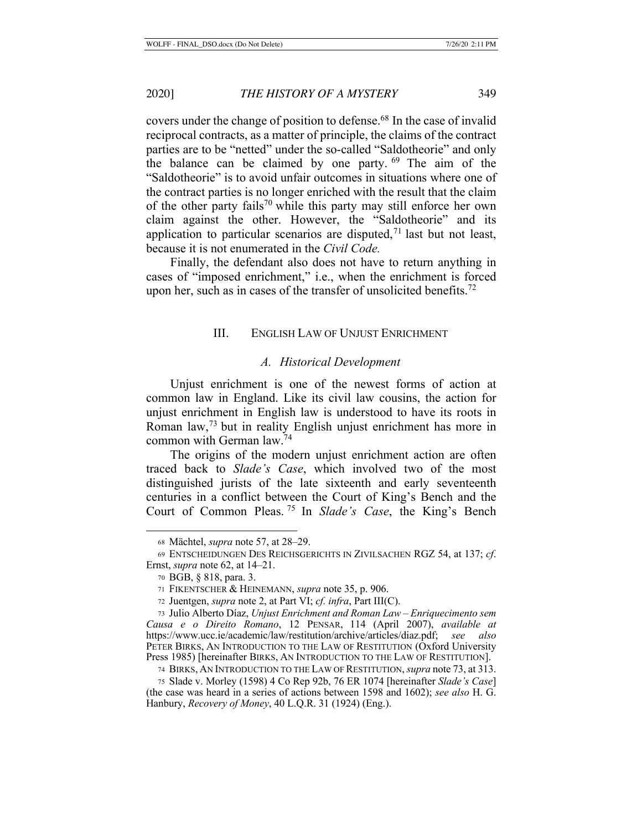covers under the change of position to defense.68 In the case of invalid reciprocal contracts, as a matter of principle, the claims of the contract parties are to be "netted" under the so-called "Saldotheorie" and only the balance can be claimed by one party. 69 The aim of the "Saldotheorie" is to avoid unfair outcomes in situations where one of the contract parties is no longer enriched with the result that the claim of the other party fails<sup>70</sup> while this party may still enforce her own claim against the other. However, the "Saldotheorie" and its application to particular scenarios are disputed,  $71$  last but not least, because it is not enumerated in the *Civil Code.*

Finally, the defendant also does not have to return anything in cases of "imposed enrichment," i.e., when the enrichment is forced upon her, such as in cases of the transfer of unsolicited benefits.<sup>72</sup>

#### III. ENGLISH LAW OF UNJUST ENRICHMENT

#### *A. Historical Development*

Unjust enrichment is one of the newest forms of action at common law in England. Like its civil law cousins, the action for unjust enrichment in English law is understood to have its roots in Roman law,73 but in reality English unjust enrichment has more in common with German law.74

The origins of the modern unjust enrichment action are often traced back to *Slade's Case*, which involved two of the most distinguished jurists of the late sixteenth and early seventeenth centuries in a conflict between the Court of King's Bench and the Court of Common Pleas. 75 In *Slade's Case*, the King's Bench

<sup>68</sup> Mächtel, *supra* note 57, at 28–29.

<sup>69</sup> ENTSCHEIDUNGEN DES REICHSGERICHTS IN ZIVILSACHEN RGZ 54, at 137; *cf*. Ernst, *supra* note 62, at 14–21.

<sup>70</sup> BGB, § 818, para. 3.

<sup>71</sup> FIKENTSCHER & HEINEMANN, *supra* note 35, p. 906.

<sup>72</sup> Juentgen, *supra* note 2, at Part VI; *cf. infra*, Part III(C).

<sup>73</sup> Julio Alberto Díaz, *Unjust Enrichment and Roman Law – Enriquecimento sem Causa e o Direito Romano*, 12 PENSAR, 114 (April 2007), *available at* https://www.ucc.ie/academic/law/restitution/archive/articles/diaz.pdf; *see also* PETER BIRKS, AN INTRODUCTION TO THE LAW OF RESTITUTION (Oxford University Press 1985) [hereinafter BIRKS, AN INTRODUCTION TO THE LAW OF RESTITUTION].

<sup>74</sup> BIRKS, AN INTRODUCTION TO THE LAW OF RESTITUTION, *supra* note 73, at 313.

<sup>75</sup> Slade v. Morley (1598) 4 Co Rep 92b, 76 ER 1074 [hereinafter *Slade's Case*] (the case was heard in a series of actions between 1598 and 1602); *see also* H. G. Hanbury, *Recovery of Money*, 40 L.Q.R. 31 (1924) (Eng.).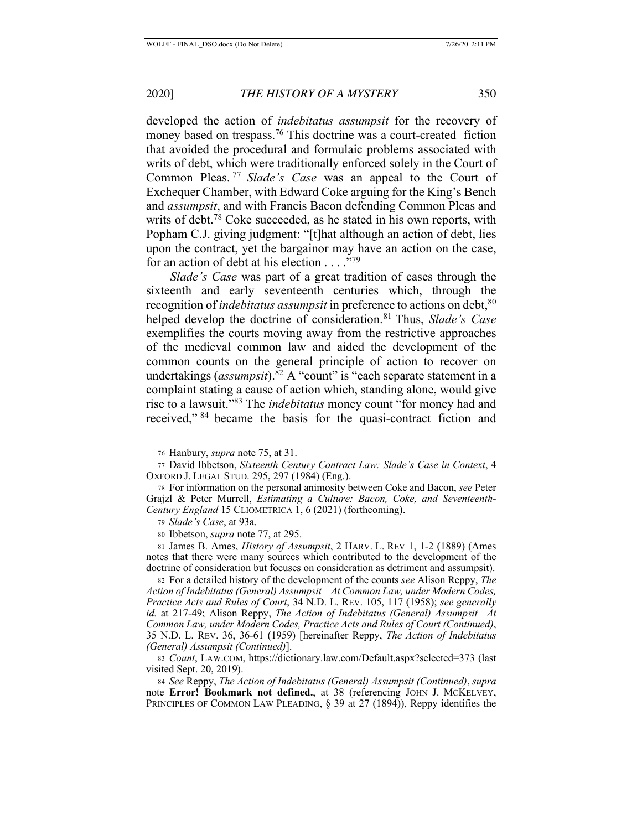developed the action of *indebitatus assumpsit* for the recovery of money based on trespass.<sup>76</sup> This doctrine was a court-created fiction that avoided the procedural and formulaic problems associated with writs of debt, which were traditionally enforced solely in the Court of Common Pleas. <sup>77</sup> *Slade's Case* was an appeal to the Court of Exchequer Chamber, with Edward Coke arguing for the King's Bench and *assumpsit*, and with Francis Bacon defending Common Pleas and writs of debt.<sup>78</sup> Coke succeeded, as he stated in his own reports, with Popham C.J. giving judgment: "[t]hat although an action of debt, lies upon the contract, yet the bargainor may have an action on the case, for an action of debt at his election . . . ."79

*Slade's Case* was part of a great tradition of cases through the sixteenth and early seventeenth centuries which, through the recognition of *indebitatus assumpsit* in preference to actions on debt, <sup>80</sup> helped develop the doctrine of consideration.81 Thus, *Slade's Case* exemplifies the courts moving away from the restrictive approaches of the medieval common law and aided the development of the common counts on the general principle of action to recover on undertakings (*assumpsit*).<sup>82</sup> A "count" is "each separate statement in a complaint stating a cause of action which, standing alone, would give rise to a lawsuit."83 The *indebitatus* money count "for money had and received," 84 became the basis for the quasi-contract fiction and

<sup>82</sup> For a detailed history of the development of the counts *see* Alison Reppy, *The Action of Indebitatus (General) Assumpsit—At Common Law, under Modern Codes, Practice Acts and Rules of Court*, 34 N.D. L. REV. 105, 117 (1958); *see generally id.* at 217-49; Alison Reppy, *The Action of Indebitatus (General) Assumpsit—At Common Law, under Modern Codes, Practice Acts and Rules of Court (Continued)*, 35 N.D. L. REV. 36, 36-61 (1959) [hereinafter Reppy, *The Action of Indebitatus (General) Assumpsit (Continued)*].

<sup>84</sup> *See* Reppy, *The Action of Indebitatus (General) Assumpsit (Continued)*, *supra*  note **Error! Bookmark not defined.**, at 38 (referencing JOHN J. MCKELVEY, PRINCIPLES OF COMMON LAW PLEADING, § 39 at 27 (1894)), Reppy identifies the

<sup>76</sup> Hanbury, *supra* note 75, at 31.

<sup>77</sup> David Ibbetson, *Sixteenth Century Contract Law: Slade's Case in Context*, 4 OXFORD J. LEGAL STUD. 295, 297 (1984) (Eng.).

<sup>78</sup> For information on the personal animosity between Coke and Bacon, *see* Peter Grajzl & Peter Murrell, *Estimating a Culture: Bacon, Coke, and Seventeenth-Century England* 15 CLIOMETRICA 1, 6 (2021) (forthcoming).

<sup>79</sup> *Slade's Case*, at 93a.

<sup>80</sup> Ibbetson, *supra* note 77, at 295.

<sup>81</sup> James B. Ames, *History of Assumpsit*, 2 HARV. L. REV 1, 1-2 (1889) (Ames notes that there were many sources which contributed to the development of the doctrine of consideration but focuses on consideration as detriment and assumpsit).

<sup>83</sup> *Count*, LAW.COM, https://dictionary.law.com/Default.aspx?selected=373 (last visited Sept. 20, 2019).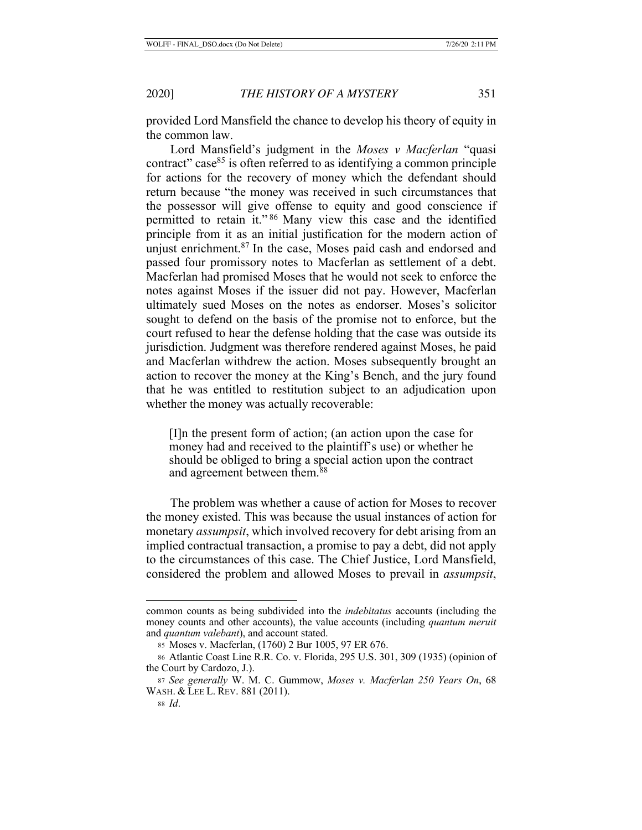provided Lord Mansfield the chance to develop his theory of equity in the common law.

Lord Mansfield's judgment in the *Moses v Macferlan* "quasi contract" case $85$  is often referred to as identifying a common principle for actions for the recovery of money which the defendant should return because "the money was received in such circumstances that the possessor will give offense to equity and good conscience if permitted to retain it." 86 Many view this case and the identified principle from it as an initial justification for the modern action of unjust enrichment.<sup>87</sup> In the case, Moses paid cash and endorsed and passed four promissory notes to Macferlan as settlement of a debt. Macferlan had promised Moses that he would not seek to enforce the notes against Moses if the issuer did not pay. However, Macferlan ultimately sued Moses on the notes as endorser. Moses's solicitor sought to defend on the basis of the promise not to enforce, but the court refused to hear the defense holding that the case was outside its jurisdiction. Judgment was therefore rendered against Moses, he paid and Macferlan withdrew the action. Moses subsequently brought an action to recover the money at the King's Bench, and the jury found that he was entitled to restitution subject to an adjudication upon whether the money was actually recoverable:

[I]n the present form of action; (an action upon the case for money had and received to the plaintiff's use) or whether he should be obliged to bring a special action upon the contract and agreement between them.88

The problem was whether a cause of action for Moses to recover the money existed. This was because the usual instances of action for monetary *assumpsit*, which involved recovery for debt arising from an implied contractual transaction, a promise to pay a debt, did not apply to the circumstances of this case. The Chief Justice, Lord Mansfield, considered the problem and allowed Moses to prevail in *assumpsit*,

common counts as being subdivided into the *indebitatus* accounts (including the money counts and other accounts), the value accounts (including *quantum meruit* and *quantum valebant*), and account stated.

<sup>85</sup> Moses v. Macferlan, (1760) 2 Bur 1005, 97 ER 676.

<sup>86</sup> Atlantic Coast Line R.R. Co. v. Florida, 295 U.S. 301, 309 (1935) (opinion of the Court by Cardozo, J.).

<sup>87</sup> *See generally* W. M. C. Gummow, *Moses v. Macferlan 250 Years On*, 68 WASH. & LEE L. REV. 881 (2011).

<sup>88</sup> *Id*.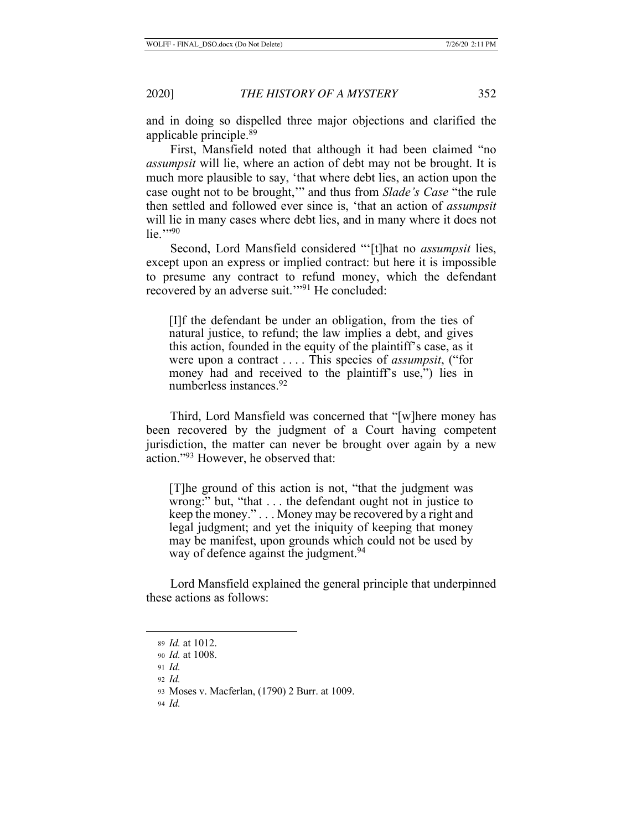and in doing so dispelled three major objections and clarified the applicable principle.89

First, Mansfield noted that although it had been claimed "no *assumpsit* will lie, where an action of debt may not be brought. It is much more plausible to say, 'that where debt lies, an action upon the case ought not to be brought,'" and thus from *Slade's Case* "the rule then settled and followed ever since is, 'that an action of *assumpsit* will lie in many cases where debt lies, and in many where it does not  $lie.$ "<sup>90</sup>

Second, Lord Mansfield considered "'[t]hat no *assumpsit* lies, except upon an express or implied contract: but here it is impossible to presume any contract to refund money, which the defendant recovered by an adverse suit.'"91 He concluded:

[I]f the defendant be under an obligation, from the ties of natural justice, to refund; the law implies a debt, and gives this action, founded in the equity of the plaintiff's case, as it were upon a contract . . . . This species of *assumpsit*, ("for money had and received to the plaintiff's use,") lies in numberless instances.92

Third, Lord Mansfield was concerned that "[w]here money has been recovered by the judgment of a Court having competent jurisdiction, the matter can never be brought over again by a new action."93 However, he observed that:

[T]he ground of this action is not, "that the judgment was wrong:" but, "that . . . the defendant ought not in justice to keep the money." . . . Money may be recovered by a right and legal judgment; and yet the iniquity of keeping that money may be manifest, upon grounds which could not be used by way of defence against the judgment.<sup>94</sup>

Lord Mansfield explained the general principle that underpinned these actions as follows:

<sup>89</sup> *Id.* at 1012.

<sup>90</sup> *Id.* at 1008.

<sup>91</sup> *Id.*

<sup>92</sup> *Id.*

<sup>93</sup> Moses v. Macferlan, (1790) 2 Burr. at 1009.

<sup>94</sup> *Id.*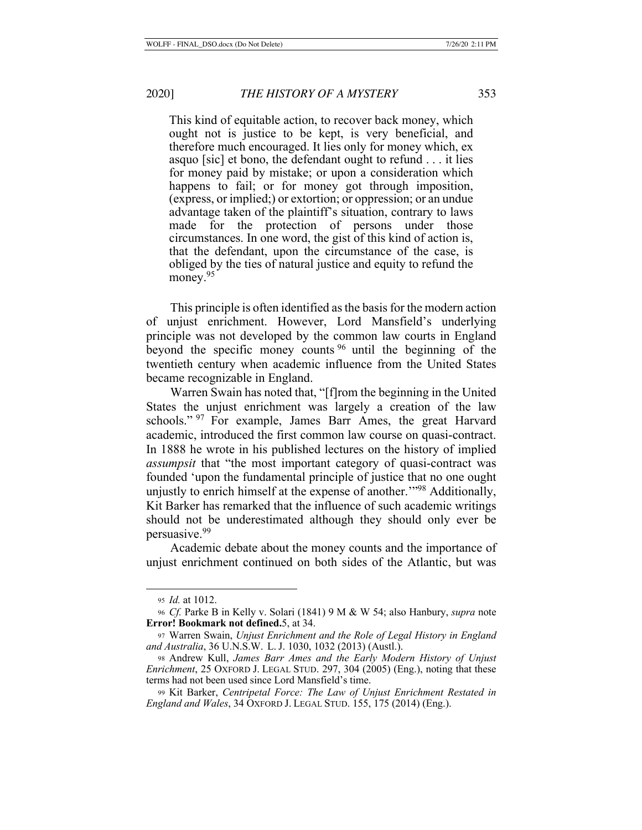This kind of equitable action, to recover back money, which ought not is justice to be kept, is very beneficial, and therefore much encouraged. It lies only for money which, ex asquo [sic] et bono, the defendant ought to refund . . . it lies for money paid by mistake; or upon a consideration which happens to fail; or for money got through imposition, (express, or implied;) or extortion; or oppression; or an undue advantage taken of the plaintiff's situation, contrary to laws made for the protection of persons under those circumstances. In one word, the gist of this kind of action is, that the defendant, upon the circumstance of the case, is obliged by the ties of natural justice and equity to refund the money.<sup>95</sup>

This principle is often identified as the basis for the modern action of unjust enrichment. However, Lord Mansfield's underlying principle was not developed by the common law courts in England beyond the specific money counts 96 until the beginning of the twentieth century when academic influence from the United States became recognizable in England.

Warren Swain has noted that, "[f]rom the beginning in the United States the unjust enrichment was largely a creation of the law schools." <sup>97</sup> For example, James Barr Ames, the great Harvard academic, introduced the first common law course on quasi-contract. In 1888 he wrote in his published lectures on the history of implied *assumpsit* that "the most important category of quasi-contract was founded 'upon the fundamental principle of justice that no one ought unjustly to enrich himself at the expense of another.'"98 Additionally, Kit Barker has remarked that the influence of such academic writings should not be underestimated although they should only ever be persuasive.99

Academic debate about the money counts and the importance of unjust enrichment continued on both sides of the Atlantic, but was

<sup>95</sup> *Id.* at 1012.

<sup>96</sup> *Cf.* Parke B in Kelly v. Solari (1841) 9 M & W 54; also Hanbury, *supra* note **Error! Bookmark not defined.**5, at 34.

<sup>97</sup> Warren Swain, *Unjust Enrichment and the Role of Legal History in England and Australia*, 36 U.N.S.W. L. J. 1030, 1032 (2013) (Austl.).

<sup>98</sup> Andrew Kull, *James Barr Ames and the Early Modern History of Unjust Enrichment*, 25 OXFORD J. LEGAL STUD. 297, 304 (2005) (Eng.), noting that these terms had not been used since Lord Mansfield's time.

<sup>99</sup> Kit Barker, *Centripetal Force: The Law of Unjust Enrichment Restated in England and Wales*, 34 OXFORD J. LEGAL STUD. 155, 175 (2014) (Eng.).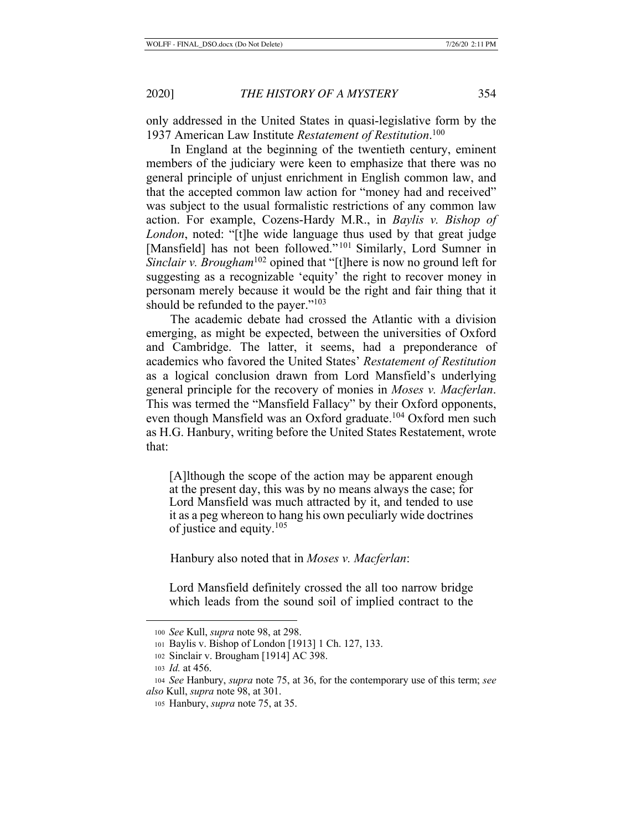only addressed in the United States in quasi-legislative form by the 1937 American Law Institute *Restatement of Restitution*. 100

In England at the beginning of the twentieth century, eminent members of the judiciary were keen to emphasize that there was no general principle of unjust enrichment in English common law, and that the accepted common law action for "money had and received" was subject to the usual formalistic restrictions of any common law action. For example, Cozens-Hardy M.R., in *Baylis v. Bishop of London*, noted: "[t]he wide language thus used by that great judge [Mansfield] has not been followed."<sup>101</sup> Similarly, Lord Sumner in *Sinclair v. Brougham*<sup>102</sup> opined that "[t]here is now no ground left for suggesting as a recognizable 'equity' the right to recover money in personam merely because it would be the right and fair thing that it should be refunded to the payer."<sup>103</sup>

The academic debate had crossed the Atlantic with a division emerging, as might be expected, between the universities of Oxford and Cambridge. The latter, it seems, had a preponderance of academics who favored the United States' *Restatement of Restitution* as a logical conclusion drawn from Lord Mansfield's underlying general principle for the recovery of monies in *Moses v. Macferlan*. This was termed the "Mansfield Fallacy" by their Oxford opponents, even though Mansfield was an Oxford graduate.104 Oxford men such as H.G. Hanbury, writing before the United States Restatement, wrote that:

[A]lthough the scope of the action may be apparent enough at the present day, this was by no means always the case; for Lord Mansfield was much attracted by it, and tended to use it as a peg whereon to hang his own peculiarly wide doctrines of justice and equity.105

Hanbury also noted that in *Moses v. Macferlan*:

Lord Mansfield definitely crossed the all too narrow bridge which leads from the sound soil of implied contract to the

<sup>100</sup> *See* Kull, *supra* note 98, at 298.

<sup>101</sup> Baylis v. Bishop of London [1913] 1 Ch. 127, 133.

<sup>102</sup> Sinclair v. Brougham [1914] AC 398.

<sup>103</sup> *Id.* at 456.

<sup>104</sup> *See* Hanbury, *supra* note 75, at 36, for the contemporary use of this term; *see also* Kull, *supra* note 98, at 301.

<sup>105</sup> Hanbury, *supra* note 75, at 35.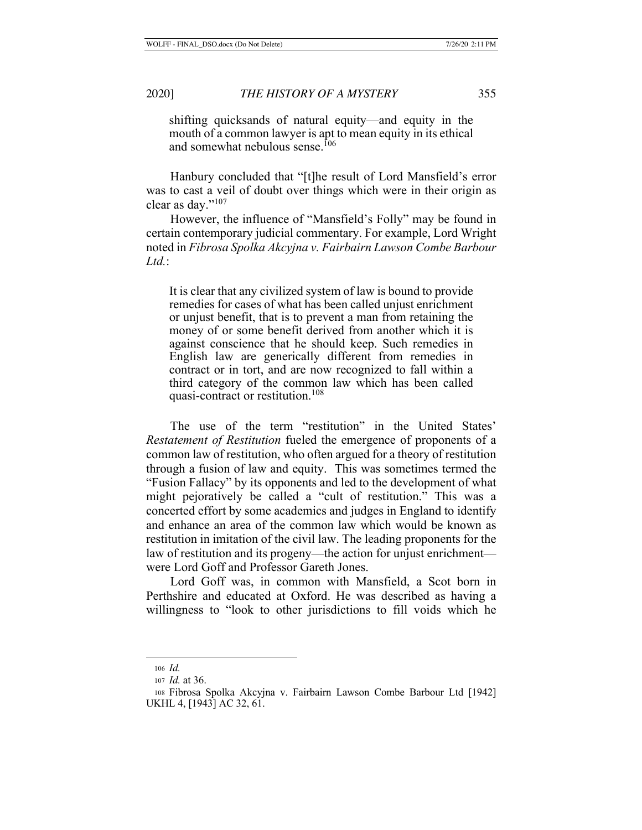shifting quicksands of natural equity—and equity in the mouth of a common lawyer is apt to mean equity in its ethical and somewhat nebulous sense.<sup>106</sup>

Hanbury concluded that "[t]he result of Lord Mansfield's error was to cast a veil of doubt over things which were in their origin as clear as day."107

However, the influence of "Mansfield's Folly" may be found in certain contemporary judicial commentary. For example, Lord Wright noted in *Fibrosa Spolka Akcyjna v. Fairbairn Lawson Combe Barbour Ltd.*:

It is clear that any civilized system of law is bound to provide remedies for cases of what has been called unjust enrichment or unjust benefit, that is to prevent a man from retaining the money of or some benefit derived from another which it is against conscience that he should keep. Such remedies in English law are generically different from remedies in contract or in tort, and are now recognized to fall within a third category of the common law which has been called quasi-contract or restitution.108

The use of the term "restitution" in the United States' *Restatement of Restitution* fueled the emergence of proponents of a common law of restitution, who often argued for a theory of restitution through a fusion of law and equity. This was sometimes termed the "Fusion Fallacy" by its opponents and led to the development of what might pejoratively be called a "cult of restitution." This was a concerted effort by some academics and judges in England to identify and enhance an area of the common law which would be known as restitution in imitation of the civil law. The leading proponents for the law of restitution and its progeny—the action for unjust enrichment were Lord Goff and Professor Gareth Jones.

Lord Goff was, in common with Mansfield, a Scot born in Perthshire and educated at Oxford. He was described as having a willingness to "look to other jurisdictions to fill voids which he

<sup>106</sup> *Id.*

<sup>107</sup> *Id.* at 36.

<sup>108</sup> Fibrosa Spolka Akcyjna v. Fairbairn Lawson Combe Barbour Ltd [1942] UKHL 4, [1943] AC 32, 61.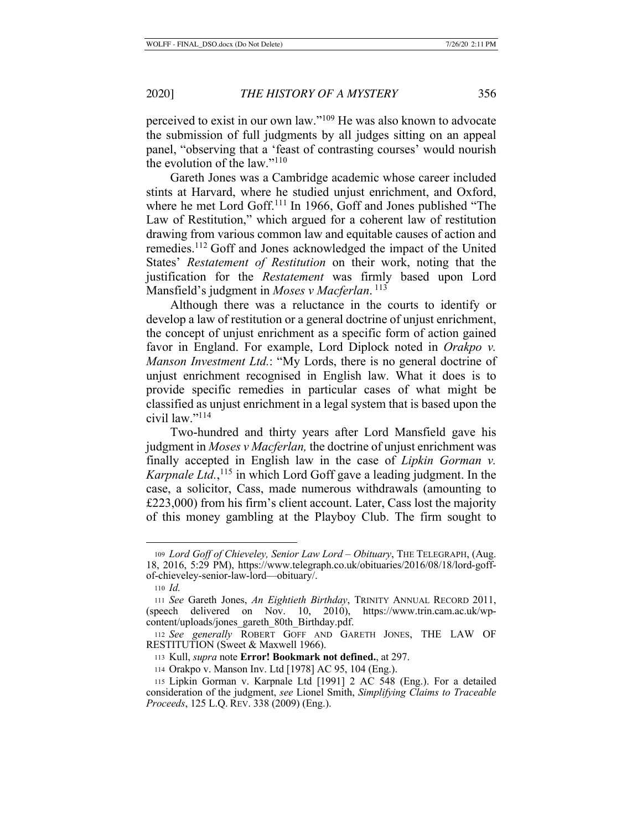perceived to exist in our own law."109 He was also known to advocate the submission of full judgments by all judges sitting on an appeal panel, "observing that a 'feast of contrasting courses' would nourish the evolution of the law." $110$ 

Gareth Jones was a Cambridge academic whose career included stints at Harvard, where he studied unjust enrichment, and Oxford, where he met Lord Goff.<sup>111</sup> In 1966, Goff and Jones published "The Law of Restitution," which argued for a coherent law of restitution drawing from various common law and equitable causes of action and remedies.112 Goff and Jones acknowledged the impact of the United States' *Restatement of Restitution* on their work, noting that the justification for the *Restatement* was firmly based upon Lord Mansfield's judgment in *Moses v Macferlan*.<sup>113</sup>

Although there was a reluctance in the courts to identify or develop a law of restitution or a general doctrine of unjust enrichment, the concept of unjust enrichment as a specific form of action gained favor in England. For example, Lord Diplock noted in *Orakpo v. Manson Investment Ltd.*: "My Lords, there is no general doctrine of unjust enrichment recognised in English law. What it does is to provide specific remedies in particular cases of what might be classified as unjust enrichment in a legal system that is based upon the civil law."114

Two-hundred and thirty years after Lord Mansfield gave his judgment in *Moses v Macferlan,* the doctrine of unjust enrichment was finally accepted in English law in the case of *Lipkin Gorman v. Karpnale Ltd.*, <sup>115</sup> in which Lord Goff gave a leading judgment. In the case, a solicitor, Cass, made numerous withdrawals (amounting to £223,000) from his firm's client account. Later, Cass lost the majority of this money gambling at the Playboy Club. The firm sought to

<sup>109</sup> *Lord Goff of Chieveley, Senior Law Lord – Obituary*, THE TELEGRAPH, (Aug. 18, 2016, 5:29 PM), https://www.telegraph.co.uk/obituaries/2016/08/18/lord-goffof-chieveley-senior-law-lord—obituary/.

<sup>110</sup> *Id.*

<sup>111</sup> *See* Gareth Jones, *An Eightieth Birthday*, TRINITY ANNUAL RECORD 2011, (speech delivered on Nov. 10, 2010), https://www.trin.cam.ac.uk/wpcontent/uploads/jones\_gareth\_80th\_Birthday.pdf.

<sup>112</sup> *See generally* ROBERT GOFF AND GARETH JONES, THE LAW OF RESTITUTION (Sweet & Maxwell 1966).

<sup>113</sup> Kull, *supra* note **Error! Bookmark not defined.**, at 297.

<sup>114</sup> Orakpo v. Manson Inv. Ltd [1978] AC 95, 104 (Eng.).

<sup>115</sup> Lipkin Gorman v. Karpnale Ltd [1991] 2 AC 548 (Eng.). For a detailed consideration of the judgment, *see* Lionel Smith, *Simplifying Claims to Traceable Proceeds*, 125 L.Q. REV. 338 (2009) (Eng.).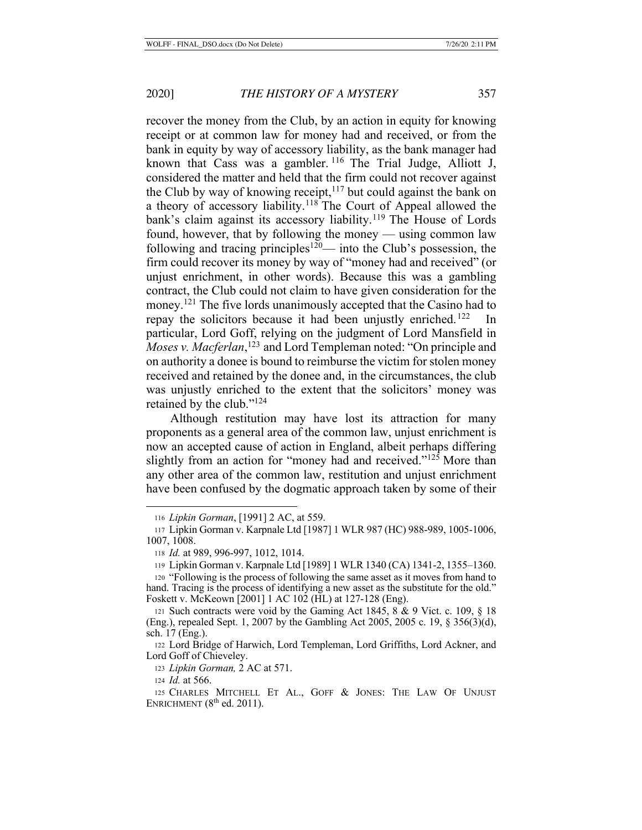recover the money from the Club, by an action in equity for knowing receipt or at common law for money had and received, or from the bank in equity by way of accessory liability, as the bank manager had known that Cass was a gambler.  $116$  The Trial Judge, Alliott J, considered the matter and held that the firm could not recover against the Club by way of knowing receipt,  $117$  but could against the bank on a theory of accessory liability.118 The Court of Appeal allowed the bank's claim against its accessory liability.<sup>119</sup> The House of Lords found, however, that by following the money — using common law following and tracing principles<sup>120</sup>— into the Club's possession, the firm could recover its money by way of "money had and received" (or unjust enrichment, in other words). Because this was a gambling contract, the Club could not claim to have given consideration for the money.<sup>121</sup> The five lords unanimously accepted that the Casino had to repay the solicitors because it had been unjustly enriched.<sup>122</sup> In particular, Lord Goff, relying on the judgment of Lord Mansfield in Moses v. Macferlan,<sup>123</sup> and Lord Templeman noted: "On principle and on authority a donee is bound to reimburse the victim for stolen money received and retained by the donee and, in the circumstances, the club was unjustly enriched to the extent that the solicitors' money was retained by the club."124

Although restitution may have lost its attraction for many proponents as a general area of the common law, unjust enrichment is now an accepted cause of action in England, albeit perhaps differing slightly from an action for "money had and received."125 More than any other area of the common law, restitution and unjust enrichment have been confused by the dogmatic approach taken by some of their

<sup>116</sup> *Lipkin Gorman*, [1991] 2 AC, at 559.

<sup>117</sup> Lipkin Gorman v. Karpnale Ltd [1987] 1 WLR 987 (HC) 988-989, 1005-1006, 1007, 1008.

<sup>118</sup> *Id.* at 989, 996-997, 1012, 1014.

<sup>119</sup> Lipkin Gorman v. Karpnale Ltd [1989] 1 WLR 1340 (CA) 1341-2, 1355–1360.

<sup>120</sup> "Following is the process of following the same asset as it moves from hand to hand. Tracing is the process of identifying a new asset as the substitute for the old." Foskett v. McKeown [2001] 1 AC 102 (HL) at 127-128 (Eng).

<sup>121</sup> Such contracts were void by the Gaming Act 1845, 8 & 9 Vict. c. 109, § 18 (Eng.), repealed Sept. 1, 2007 by the Gambling Act 2005, 2005 c. 19, § 356(3)(d), sch. 17 (Eng.).

<sup>122</sup> Lord Bridge of Harwich, Lord Templeman, Lord Griffiths, Lord Ackner, and Lord Goff of Chieveley.

<sup>123</sup> *Lipkin Gorman,* 2 AC at 571.

<sup>124</sup> *Id.* at 566.

<sup>125</sup> CHARLES MITCHELL ET AL., GOFF & JONES: THE LAW OF UNJUST ENRICHMENT  $(8<sup>th</sup>$  ed. 2011).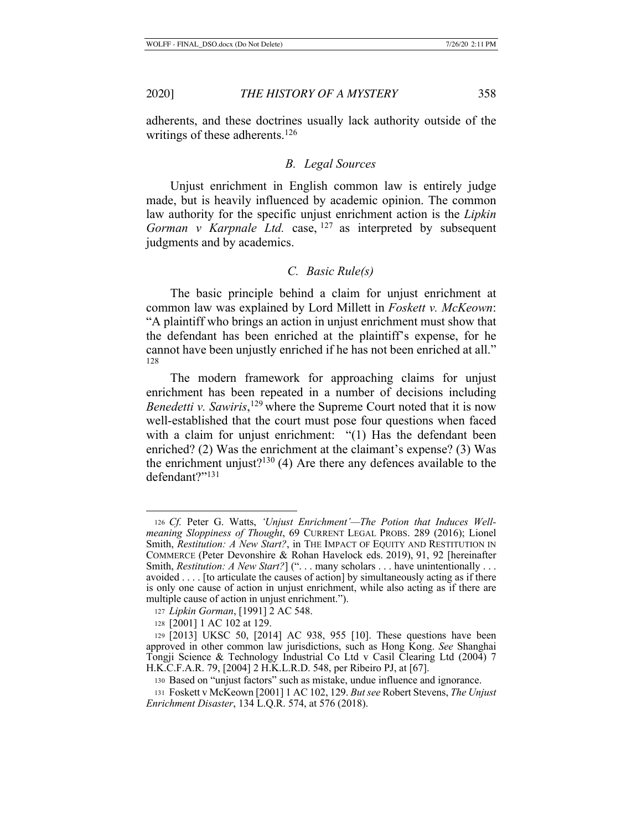adherents, and these doctrines usually lack authority outside of the writings of these adherents.<sup>126</sup>

## *B. Legal Sources*

Unjust enrichment in English common law is entirely judge made, but is heavily influenced by academic opinion. The common law authority for the specific unjust enrichment action is the *Lipkin Gorman v Karpnale Ltd.* case, <sup>127</sup> as interpreted by subsequent judgments and by academics.

## *C. Basic Rule(s)*

The basic principle behind a claim for unjust enrichment at common law was explained by Lord Millett in *Foskett v. McKeown*: "A plaintiff who brings an action in unjust enrichment must show that the defendant has been enriched at the plaintiff's expense, for he cannot have been unjustly enriched if he has not been enriched at all." 128

The modern framework for approaching claims for unjust enrichment has been repeated in a number of decisions including *Benedetti v. Sawiris*, <sup>129</sup> where the Supreme Court noted that it is now well-established that the court must pose four questions when faced with a claim for unjust enrichment: "(1) Has the defendant been enriched? (2) Was the enrichment at the claimant's expense? (3) Was the enrichment unjust?<sup>130</sup> (4) Are there any defences available to the defendant?"131

<sup>126</sup> *Cf.* Peter G. Watts, *'Unjust Enrichment'—The Potion that Induces Wellmeaning Sloppiness of Thought*, 69 CURRENT LEGAL PROBS. 289 (2016); Lionel Smith, *Restitution: A New Start?*, in THE IMPACT OF EQUITY AND RESTITUTION IN COMMERCE (Peter Devonshire & Rohan Havelock eds. 2019), 91, 92 [hereinafter Smith, *Restitution: A New Start?*] ("... many scholars ... have unintentionally ... avoided . . . . [to articulate the causes of action] by simultaneously acting as if there is only one cause of action in unjust enrichment, while also acting as if there are multiple cause of action in unjust enrichment.").

<sup>127</sup> *Lipkin Gorman*, [1991] 2 AC 548.

<sup>128</sup> [2001] 1 AC 102 at 129.

<sup>129</sup> [2013] UKSC 50, [2014] AC 938, 955 [10]. These questions have been approved in other common law jurisdictions, such as Hong Kong. *See* Shanghai Tongji Science & Technology Industrial Co Ltd v Casil Clearing Ltd (2004) 7 H.K.C.F.A.R. 79, [2004] 2 H.K.L.R.D. 548, per Ribeiro PJ, at [67].

<sup>130</sup> Based on "unjust factors" such as mistake, undue influence and ignorance.

<sup>131</sup> Foskett v McKeown [2001] 1 AC 102, 129. *But see* Robert Stevens, *The Unjust Enrichment Disaster*, 134 L.Q.R. 574, at 576 (2018).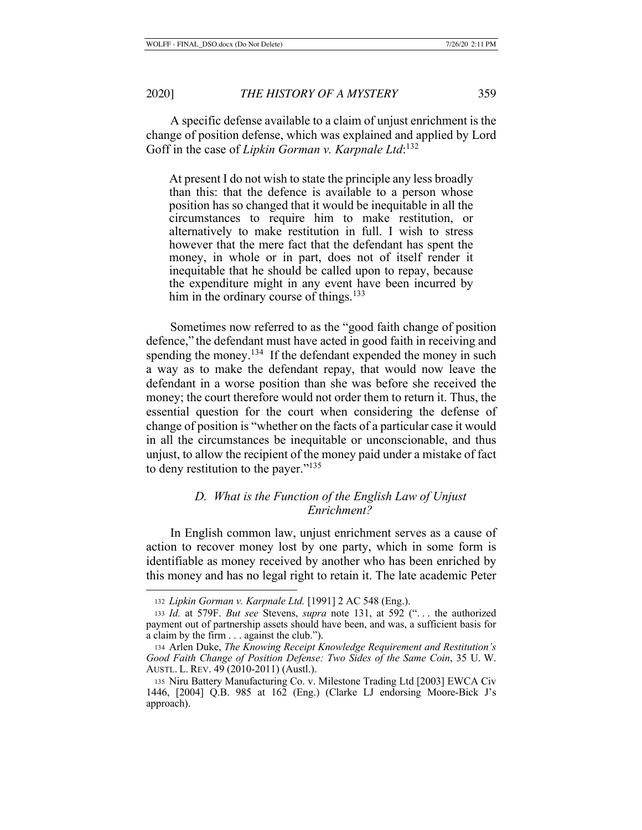A specific defense available to a claim of unjust enrichment is the change of position defense, which was explained and applied by Lord Goff in the case of *Lipkin Gorman v. Karpnale Ltd*: 132

At present I do not wish to state the principle any less broadly than this: that the defence is available to a person whose position has so changed that it would be inequitable in all the circumstances to require him to make restitution, or alternatively to make restitution in full. I wish to stress however that the mere fact that the defendant has spent the money, in whole or in part, does not of itself render it inequitable that he should be called upon to repay, because the expenditure might in any event have been incurred by him in the ordinary course of things.<sup>133</sup>

Sometimes now referred to as the "good faith change of position defence," the defendant must have acted in good faith in receiving and spending the money.<sup>134</sup> If the defendant expended the money in such a way as to make the defendant repay, that would now leave the defendant in a worse position than she was before she received the money; the court therefore would not order them to return it. Thus, the essential question for the court when considering the defense of change of position is "whether on the facts of a particular case it would in all the circumstances be inequitable or unconscionable, and thus unjust, to allow the recipient of the money paid under a mistake of fact to deny restitution to the payer."135

# *D. What is the Function of the English Law of Unjust Enrichment?*

In English common law, unjust enrichment serves as a cause of action to recover money lost by one party, which in some form is identifiable as money received by another who has been enriched by this money and has no legal right to retain it. The late academic Peter

<sup>132</sup> *Lipkin Gorman v. Karpnale Ltd.* [1991] 2 AC 548 (Eng.).

<sup>133</sup> *Id.* at 579F. *But see* Stevens, *supra* note 131, at 592 (". . . the authorized payment out of partnership assets should have been, and was, a sufficient basis for a claim by the firm . . . against the club.").

<sup>134</sup> Arlen Duke, *The Knowing Receipt Knowledge Requirement and Restitution's Good Faith Change of Position Defense: Two Sides of the Same Coin*, 35 U. W. AUSTL. L. REV. 49 (2010-2011) (Austl.).

<sup>135</sup> Niru Battery Manufacturing Co. v. Milestone Trading Ltd [2003] EWCA Civ 1446, [2004] Q.B. 985 at 162 (Eng.) (Clarke LJ endorsing Moore-Bick J's approach).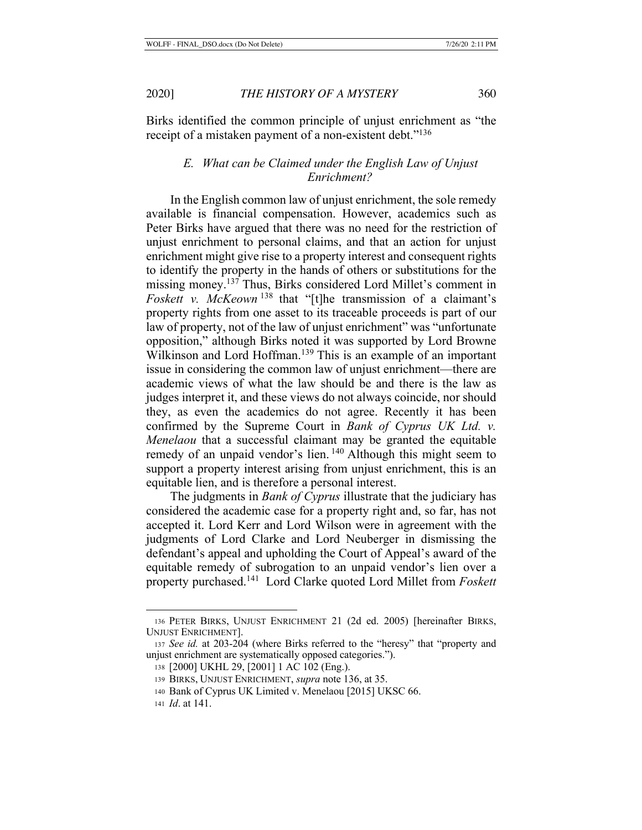Birks identified the common principle of unjust enrichment as "the receipt of a mistaken payment of a non-existent debt."<sup>136</sup>

# *E. What can be Claimed under the English Law of Unjust Enrichment?*

In the English common law of unjust enrichment, the sole remedy available is financial compensation. However, academics such as Peter Birks have argued that there was no need for the restriction of unjust enrichment to personal claims, and that an action for unjust enrichment might give rise to a property interest and consequent rights to identify the property in the hands of others or substitutions for the missing money.137 Thus, Birks considered Lord Millet's comment in *Foskett v. McKeown* 138 that "[t]he transmission of a claimant's property rights from one asset to its traceable proceeds is part of our law of property, not of the law of unjust enrichment" was "unfortunate opposition," although Birks noted it was supported by Lord Browne Wilkinson and Lord Hoffman.<sup>139</sup> This is an example of an important issue in considering the common law of unjust enrichment—there are academic views of what the law should be and there is the law as judges interpret it, and these views do not always coincide, nor should they, as even the academics do not agree. Recently it has been confirmed by the Supreme Court in *Bank of Cyprus UK Ltd. v. Menelaou* that a successful claimant may be granted the equitable remedy of an unpaid vendor's lien.<sup>140</sup> Although this might seem to support a property interest arising from unjust enrichment, this is an equitable lien, and is therefore a personal interest.

The judgments in *Bank of Cyprus* illustrate that the judiciary has considered the academic case for a property right and, so far, has not accepted it. Lord Kerr and Lord Wilson were in agreement with the judgments of Lord Clarke and Lord Neuberger in dismissing the defendant's appeal and upholding the Court of Appeal's award of the equitable remedy of subrogation to an unpaid vendor's lien over a property purchased.141 Lord Clarke quoted Lord Millet from *Foskett* 

<sup>136</sup> PETER BIRKS, UNJUST ENRICHMENT 21 (2d ed. 2005) [hereinafter BIRKS, UNJUST ENRICHMENT].

<sup>137</sup> *See id.* at 203-204 (where Birks referred to the "heresy" that "property and unjust enrichment are systematically opposed categories.").

<sup>138</sup> [2000] UKHL 29, [2001] 1 AC 102 (Eng.).

<sup>139</sup> BIRKS, UNJUST ENRICHMENT, *supra* note 136, at 35.

<sup>140</sup> Bank of Cyprus UK Limited v. Menelaou [2015] UKSC 66.

<sup>141</sup> *Id*. at 141.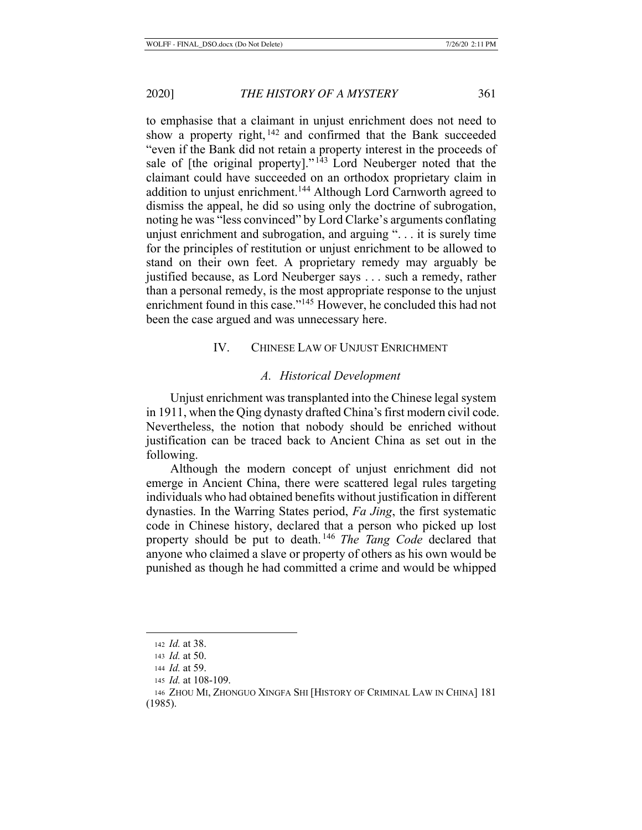to emphasise that a claimant in unjust enrichment does not need to show a property right, 142 and confirmed that the Bank succeeded "even if the Bank did not retain a property interest in the proceeds of sale of [the original property]."<sup>143</sup> Lord Neuberger noted that the claimant could have succeeded on an orthodox proprietary claim in addition to unjust enrichment.<sup>144</sup> Although Lord Carnworth agreed to dismiss the appeal, he did so using only the doctrine of subrogation, noting he was "less convinced" by Lord Clarke's arguments conflating unjust enrichment and subrogation, and arguing ". . . it is surely time for the principles of restitution or unjust enrichment to be allowed to stand on their own feet. A proprietary remedy may arguably be justified because, as Lord Neuberger says . . . such a remedy, rather than a personal remedy, is the most appropriate response to the unjust enrichment found in this case."<sup>145</sup> However, he concluded this had not been the case argued and was unnecessary here.

# IV. CHINESE LAW OF UNJUST ENRICHMENT

### *A. Historical Development*

Unjust enrichment was transplanted into the Chinese legal system in 1911, when the Qing dynasty drafted China's first modern civil code. Nevertheless, the notion that nobody should be enriched without justification can be traced back to Ancient China as set out in the following.

Although the modern concept of unjust enrichment did not emerge in Ancient China, there were scattered legal rules targeting individuals who had obtained benefits without justification in different dynasties. In the Warring States period, *Fa Jing*, the first systematic code in Chinese history, declared that a person who picked up lost property should be put to death. <sup>146</sup> *The Tang Code* declared that anyone who claimed a slave or property of others as his own would be punished as though he had committed a crime and would be whipped

(1985).

<sup>142</sup> *Id.* at 38.

<sup>143</sup> *Id.* at 50.

<sup>144</sup> *Id.* at 59.

<sup>145</sup> *Id.* at 108-109.

<sup>146</sup> ZHOU MI, ZHONGUO XINGFA SHI [HISTORY OF CRIMINAL LAW IN CHINA] 181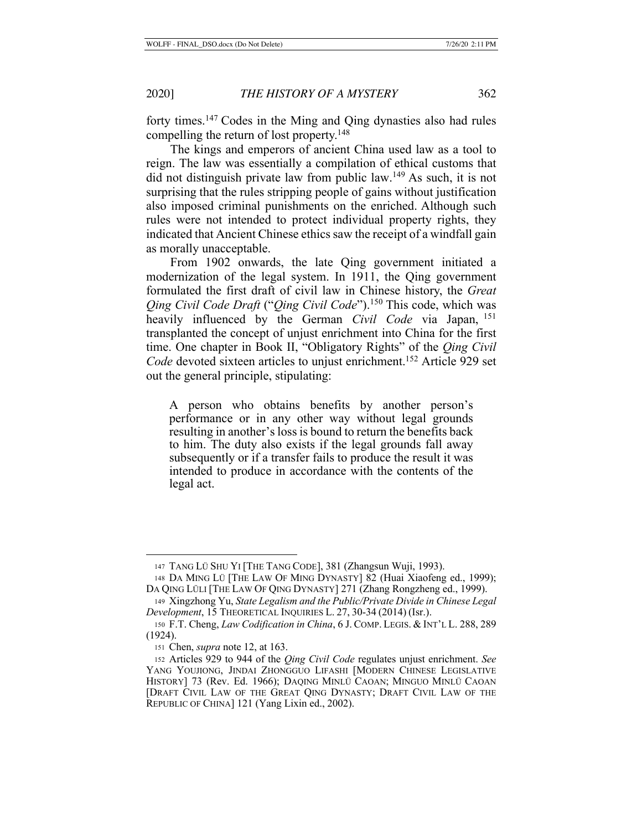forty times.147 Codes in the Ming and Qing dynasties also had rules compelling the return of lost property.<sup>148</sup>

The kings and emperors of ancient China used law as a tool to reign. The law was essentially a compilation of ethical customs that did not distinguish private law from public law.<sup>149</sup> As such, it is not surprising that the rules stripping people of gains without justification also imposed criminal punishments on the enriched. Although such rules were not intended to protect individual property rights, they indicated that Ancient Chinese ethics saw the receipt of a windfall gain as morally unacceptable.

From 1902 onwards, the late Qing government initiated a modernization of the legal system. In 1911, the Qing government formulated the first draft of civil law in Chinese history, the *Great Qing Civil Code Draft* ("*Qing Civil Code*").<sup>150</sup> This code, which was heavily influenced by the German *Civil Code* via Japan, <sup>151</sup> transplanted the concept of unjust enrichment into China for the first time. One chapter in Book II, "Obligatory Rights" of the *Qing Civil Code* devoted sixteen articles to unjust enrichment.<sup>152</sup> Article 929 set out the general principle, stipulating:

A person who obtains benefits by another person's performance or in any other way without legal grounds resulting in another's loss is bound to return the benefits back to him. The duty also exists if the legal grounds fall away subsequently or if a transfer fails to produce the result it was intended to produce in accordance with the contents of the legal act.

<sup>147</sup> TANG LÜ SHU YI [THE TANG CODE], 381 (Zhangsun Wuji, 1993).

<sup>148</sup> DA MING LÜ [THE LAW OF MING DYNASTY] 82 (Huai Xiaofeng ed., 1999); DA QING LÜLI [THE LAW OF QING DYNASTY] 271 (Zhang Rongzheng ed., 1999).

<sup>149</sup> Xingzhong Yu, *State Legalism and the Public/Private Divide in Chinese Legal Development*, 15 THEORETICAL INQUIRIES L. 27, 30-34 (2014) (Isr.).

<sup>150</sup> F.T. Cheng, *Law Codification in China*, 6 J. COMP. LEGIS. & INT'L L. 288, 289 (1924).

<sup>151</sup> Chen, *supra* note 12, at 163.

<sup>152</sup> Articles 929 to 944 of the *Qing Civil Code* regulates unjust enrichment. *See* YANG YOUJIONG, JINDAI ZHONGGUO LIFASHI [MODERN CHINESE LEGISLATIVE HISTORY] 73 (Rev. Ed. 1966); DAQING MINLÜ CAOAN; MINGUO MINLÜ CAOAN [DRAFT CIVIL LAW OF THE GREAT QING DYNASTY; DRAFT CIVIL LAW OF THE REPUBLIC OF CHINA] 121 (Yang Lixin ed., 2002).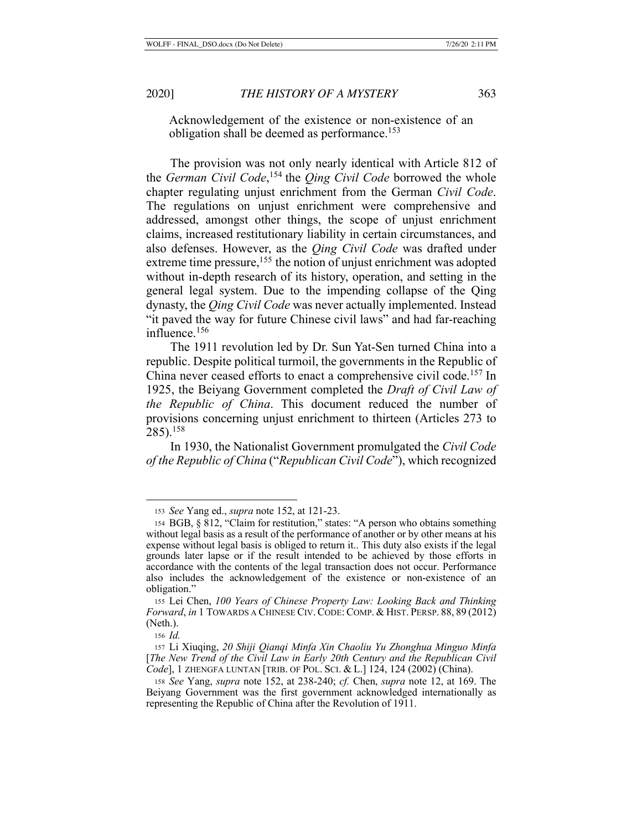Acknowledgement of the existence or non-existence of an obligation shall be deemed as performance.<sup>153</sup>

The provision was not only nearly identical with Article 812 of the *German Civil Code*, 154 the *Qing Civil Code* borrowed the whole chapter regulating unjust enrichment from the German *Civil Code*. The regulations on unjust enrichment were comprehensive and addressed, amongst other things, the scope of unjust enrichment claims, increased restitutionary liability in certain circumstances, and also defenses. However, as the *Qing Civil Code* was drafted under extreme time pressure,<sup>155</sup> the notion of unjust enrichment was adopted without in-depth research of its history, operation, and setting in the general legal system. Due to the impending collapse of the Qing dynasty, the *Qing Civil Code* was never actually implemented. Instead "it paved the way for future Chinese civil laws" and had far-reaching influence.156

The 1911 revolution led by Dr. Sun Yat-Sen turned China into a republic. Despite political turmoil, the governments in the Republic of China never ceased efforts to enact a comprehensive civil code.<sup>157</sup> In 1925, the Beiyang Government completed the *Draft of Civil Law of the Republic of China*. This document reduced the number of provisions concerning unjust enrichment to thirteen (Articles 273 to 285).158

In 1930, the Nationalist Government promulgated the *Civil Code of the Republic of China* ("*Republican Civil Code*"), which recognized

<sup>153</sup> *See* Yang ed., *supra* note 152, at 121-23.

<sup>154</sup> BGB, § 812, "Claim for restitution," states: "A person who obtains something without legal basis as a result of the performance of another or by other means at his expense without legal basis is obliged to return it.. This duty also exists if the legal grounds later lapse or if the result intended to be achieved by those efforts in accordance with the contents of the legal transaction does not occur. Performance also includes the acknowledgement of the existence or non-existence of an obligation."

<sup>155</sup> Lei Chen, *100 Years of Chinese Property Law: Looking Back and Thinking Forward*, *in* 1 TOWARDS A CHINESE CIV. CODE: COMP. & HIST. PERSP. 88, 89 (2012) (Neth.).

<sup>156</sup> *Id.*

<sup>157</sup> Li Xiuqing, *20 Shiji Qianqi Minfa Xin Chaoliu Yu Zhonghua Minguo Minfa*  [*The New Trend of the Civil Law in Early 20th Century and the Republican Civil Code*], 1 ZHENGFA LUNTAN [TRIB. OF POL. SCI. & L.] 124, 124 (2002) (China).

<sup>158</sup> *See* Yang, *supra* note 152, at 238-240; *cf.* Chen, *supra* note 12, at 169. The Beiyang Government was the first government acknowledged internationally as representing the Republic of China after the Revolution of 1911.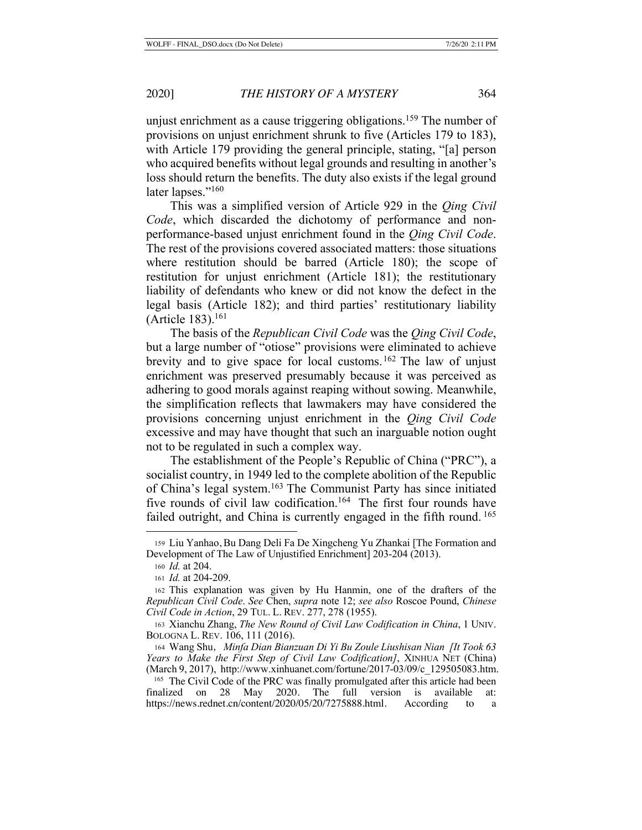unjust enrichment as a cause triggering obligations.<sup>159</sup> The number of provisions on unjust enrichment shrunk to five (Articles 179 to 183), with Article 179 providing the general principle, stating, "[a] person who acquired benefits without legal grounds and resulting in another's loss should return the benefits. The duty also exists if the legal ground later lapses."<sup>160</sup>

This was a simplified version of Article 929 in the *Qing Civil Code*, which discarded the dichotomy of performance and nonperformance-based unjust enrichment found in the *Qing Civil Code*. The rest of the provisions covered associated matters: those situations where restitution should be barred (Article 180); the scope of restitution for unjust enrichment (Article 181); the restitutionary liability of defendants who knew or did not know the defect in the legal basis (Article 182); and third parties' restitutionary liability (Article 183).<sup>161</sup>

The basis of the *Republican Civil Code* was the *Qing Civil Code*, but a large number of "otiose" provisions were eliminated to achieve brevity and to give space for local customs. 162 The law of unjust enrichment was preserved presumably because it was perceived as adhering to good morals against reaping without sowing. Meanwhile, the simplification reflects that lawmakers may have considered the provisions concerning unjust enrichment in the *Qing Civil Code* excessive and may have thought that such an inarguable notion ought not to be regulated in such a complex way.

The establishment of the People's Republic of China ("PRC"), a socialist country, in 1949 led to the complete abolition of the Republic of China's legal system.163 The Communist Party has since initiated five rounds of civil law codification.<sup>164</sup> The first four rounds have failed outright, and China is currently engaged in the fifth round. <sup>165</sup>

<sup>159</sup> Liu Yanhao, Bu Dang Deli Fa De Xingcheng Yu Zhankai [The Formation and Development of The Law of Unjustified Enrichment] 203-204 (2013).

<sup>160</sup> *Id.* at 204.

<sup>161</sup> *Id.* at 204-209.

<sup>162</sup> This explanation was given by Hu Hanmin, one of the drafters of the *Republican Civil Code*. *See* Chen, *supra* note 12; *see also* Roscoe Pound, *Chinese Civil Code in Action*, 29 TUL. L. REV. 277, 278 (1955).

<sup>163</sup> Xianchu Zhang, *The New Round of Civil Law Codification in China*, 1 UNIV. BOLOGNA L. REV. 106, 111 (2016).

<sup>164</sup> Wang Shu,*Minfa Dian Bianzuan Di Yi Bu Zoule Liushisan Nian [It Took 63 Years to Make the First Step of Civil Law Codification]*, XINHUA NET (China) (March 9, 2017), http://www.xinhuanet.com/fortune/2017-03/09/c\_129505083.htm.

<sup>&</sup>lt;sup>165</sup> The Civil Code of the PRC was finally promulgated after this article had been finalized on 28 May 2020. The full version is available at: May 2020. The full version is available at: https://news.rednet.cn/content/2020/05/20/7275888.html. According to a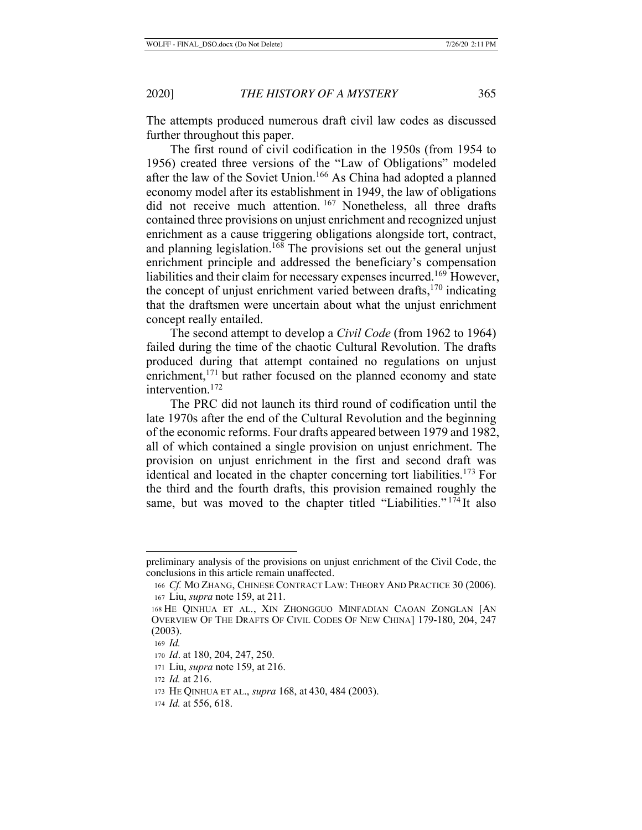The attempts produced numerous draft civil law codes as discussed further throughout this paper.

The first round of civil codification in the 1950s (from 1954 to 1956) created three versions of the "Law of Obligations" modeled after the law of the Soviet Union.<sup>166</sup> As China had adopted a planned economy model after its establishment in 1949, the law of obligations did not receive much attention. 167 Nonetheless, all three drafts contained three provisions on unjust enrichment and recognized unjust enrichment as a cause triggering obligations alongside tort, contract, and planning legislation.<sup>168</sup> The provisions set out the general unjust enrichment principle and addressed the beneficiary's compensation liabilities and their claim for necessary expenses incurred.169 However, the concept of unjust enrichment varied between drafts,  $170$  indicating that the draftsmen were uncertain about what the unjust enrichment concept really entailed.

The second attempt to develop a *Civil Code* (from 1962 to 1964) failed during the time of the chaotic Cultural Revolution. The drafts produced during that attempt contained no regulations on unjust enrichment,<sup>171</sup> but rather focused on the planned economy and state intervention.172

The PRC did not launch its third round of codification until the late 1970s after the end of the Cultural Revolution and the beginning of the economic reforms. Four drafts appeared between 1979 and 1982, all of which contained a single provision on unjust enrichment. The provision on unjust enrichment in the first and second draft was identical and located in the chapter concerning tort liabilities.173 For the third and the fourth drafts, this provision remained roughly the same, but was moved to the chapter titled "Liabilities."<sup>174</sup>It also

preliminary analysis of the provisions on unjust enrichment of the Civil Code, the conclusions in this article remain unaffected.

<sup>166</sup> *Cf.* MO ZHANG, CHINESE CONTRACT LAW: THEORY AND PRACTICE 30 (2006). <sup>167</sup> Liu, *supra* note 159, at 211.

<sup>168</sup> HE QINHUA ET AL., XIN ZHONGGUO MINFADIAN CAOAN ZONGLAN [AN OVERVIEW OF THE DRAFTS OF CIVIL CODES OF NEW CHINA] 179-180, 204, 247 (2003).

<sup>169</sup> *Id.*

<sup>170</sup> *Id*. at 180, 204, 247, 250.

<sup>171</sup> Liu, *supra* note 159, at 216.

<sup>172</sup> *Id.* at 216.

<sup>173</sup> HE QINHUA ET AL., *supra* 168, at 430, 484 (2003).

<sup>174</sup> *Id.* at 556, 618.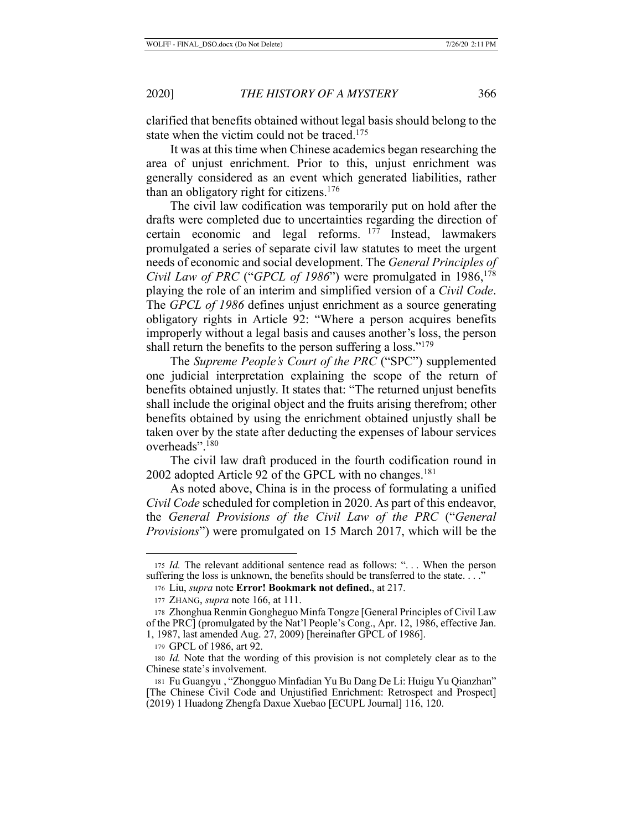clarified that benefits obtained without legal basis should belong to the state when the victim could not be traced.<sup>175</sup>

It was at this time when Chinese academics began researching the area of unjust enrichment. Prior to this, unjust enrichment was generally considered as an event which generated liabilities, rather than an obligatory right for citizens.<sup>176</sup>

The civil law codification was temporarily put on hold after the drafts were completed due to uncertainties regarding the direction of certain economic and legal reforms.  $177$  Instead, lawmakers promulgated a series of separate civil law statutes to meet the urgent needs of economic and social development. The *General Principles of Civil Law of PRC* ("*GPCL of 1986*") were promulgated in 1986,<sup>178</sup> playing the role of an interim and simplified version of a *Civil Code*. The *GPCL of 1986* defines unjust enrichment as a source generating obligatory rights in Article 92: "Where a person acquires benefits improperly without a legal basis and causes another's loss, the person shall return the benefits to the person suffering a loss."<sup>179</sup>

The *Supreme People's Court of the PRC* ("SPC") supplemented one judicial interpretation explaining the scope of the return of benefits obtained unjustly. It states that: "The returned unjust benefits shall include the original object and the fruits arising therefrom; other benefits obtained by using the enrichment obtained unjustly shall be taken over by the state after deducting the expenses of labour services overheads".180

The civil law draft produced in the fourth codification round in 2002 adopted Article 92 of the GPCL with no changes.<sup>181</sup>

As noted above, China is in the process of formulating a unified *Civil Code* scheduled for completion in 2020. As part of this endeavor, the *General Provisions of the Civil Law of the PRC* ("*General Provisions*") were promulgated on 15 March 2017, which will be the

<sup>175</sup> *Id.* The relevant additional sentence read as follows: "... When the person suffering the loss is unknown, the benefits should be transferred to the state...."

<sup>176</sup> Liu, *supra* note **Error! Bookmark not defined.**, at 217.

<sup>177</sup> ZHANG, *supra* note 166, at 111.

<sup>178</sup> Zhonghua Renmin Gongheguo Minfa Tongze [General Principles of Civil Law of the PRC] (promulgated by the Nat'l People's Cong., Apr. 12, 1986, effective Jan. 1, 1987, last amended Aug. 27, 2009) [hereinafter GPCL of 1986].

<sup>179</sup> GPCL of 1986, art 92.

<sup>180</sup> *Id.* Note that the wording of this provision is not completely clear as to the Chinese state's involvement.

<sup>181</sup> Fu Guangyu , "Zhongguo Minfadian Yu Bu Dang De Li: Huigu Yu Qianzhan" [The Chinese Civil Code and Unjustified Enrichment: Retrospect and Prospect] (2019) 1 Huadong Zhengfa Daxue Xuebao [ECUPL Journal] 116, 120.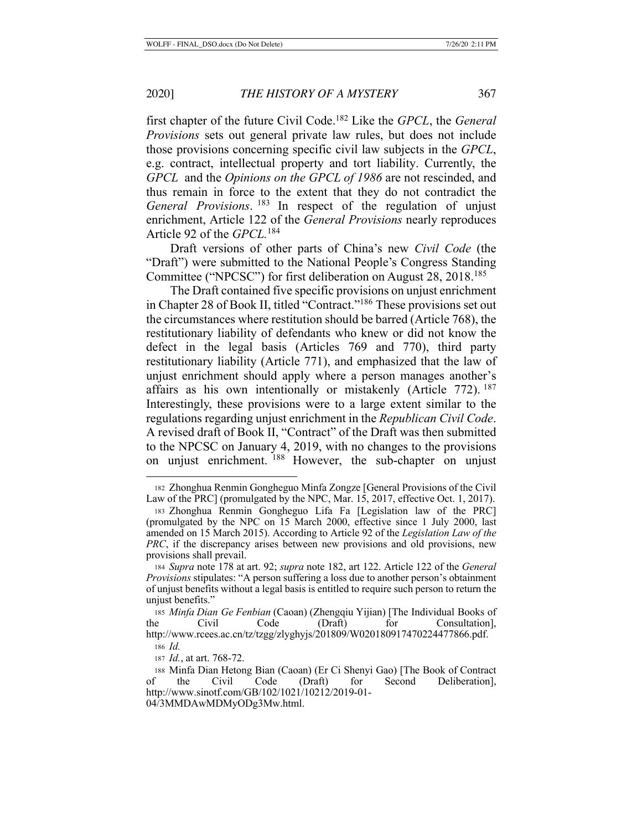first chapter of the future Civil Code.182 Like the *GPCL*, the *General Provisions* sets out general private law rules, but does not include those provisions concerning specific civil law subjects in the *GPCL*, e.g. contract, intellectual property and tort liability. Currently, the *GPCL* and the *Opinions on the GPCL of 1986* are not rescinded, and thus remain in force to the extent that they do not contradict the *General Provisions*. 183 In respect of the regulation of unjust enrichment, Article 122 of the *General Provisions* nearly reproduces Article 92 of the *GPCL.*<sup>184</sup>

Draft versions of other parts of China's new *Civil Code* (the "Draft") were submitted to the National People's Congress Standing Committee ("NPCSC") for first deliberation on August 28, 2018.185

The Draft contained five specific provisions on unjust enrichment in Chapter 28 of Book II, titled "Contract."186 These provisions set out the circumstances where restitution should be barred (Article 768), the restitutionary liability of defendants who knew or did not know the defect in the legal basis (Articles 769 and 770), third party restitutionary liability (Article 771), and emphasized that the law of unjust enrichment should apply where a person manages another's affairs as his own intentionally or mistakenly (Article 772). <sup>187</sup> Interestingly, these provisions were to a large extent similar to the regulations regarding unjust enrichment in the *Republican Civil Code*. A revised draft of Book II, "Contract" of the Draft was then submitted to the NPCSC on January 4, 2019, with no changes to the provisions on unjust enrichment. 188 However, the sub-chapter on unjust

<sup>182</sup> Zhonghua Renmin Gongheguo Minfa Zongze [General Provisions of the Civil Law of the PRC] (promulgated by the NPC, Mar. 15, 2017, effective Oct. 1, 2017).

<sup>183</sup> Zhonghua Renmin Gongheguo Lifa Fa [Legislation law of the PRC] (promulgated by the NPC on 15 March 2000, effective since 1 July 2000, last amended on 15 March 2015). According to Article 92 of the *Legislation Law of the PRC*, if the discrepancy arises between new provisions and old provisions, new provisions shall prevail.

<sup>184</sup> *Supra* note 178 at art. 92; *supra* note 182, art 122. Article 122 of the *General Provisions* stipulates: "A person suffering a loss due to another person's obtainment of unjust benefits without a legal basis is entitled to require such person to return the unjust benefits."

<sup>185</sup> *Minfa Dian Ge Fenbian* (Caoan) (Zhengqiu Yijian) [The Individual Books of the Civil Code (Draft) for Consultation], http://www.rcees.ac.cn/tz/tzgg/zlyghyjs/201809/W020180917470224477866.pdf.

<sup>186</sup> *Id.*

<sup>187</sup> *Id.*, at art. 768-72.

<sup>188</sup> Minfa Dian Hetong Bian (Caoan) (Er Ci Shenyi Gao) [The Book of Contract of the Civil Code (Draft) for Second Deliberation], http://www.sinotf.com/GB/102/1021/10212/2019-01- 04/3MMDAwMDMyODg3Mw.html.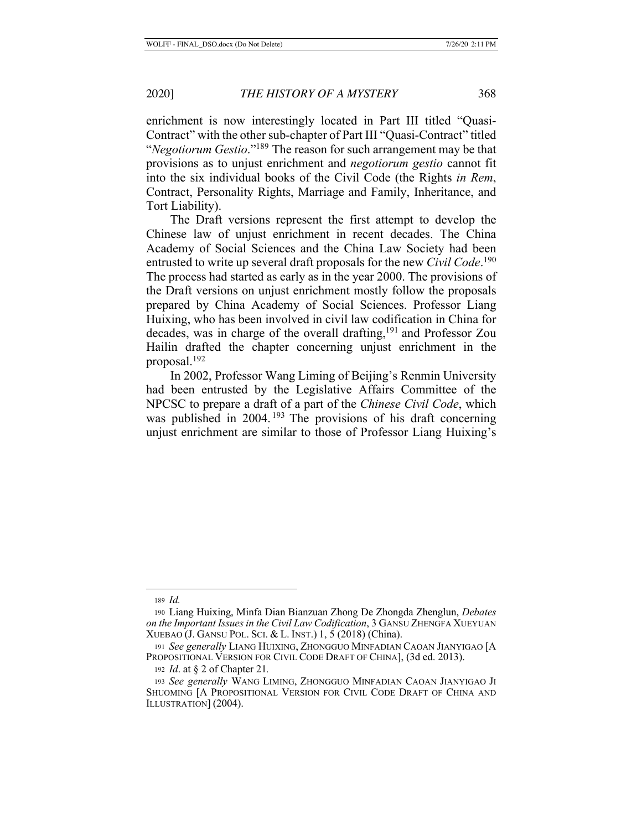enrichment is now interestingly located in Part III titled "Quasi-Contract" with the other sub-chapter of Part III "Quasi-Contract" titled "*Negotiorum Gestio*."189 The reason for such arrangement may be that provisions as to unjust enrichment and *negotiorum gestio* cannot fit into the six individual books of the Civil Code (the Rights *in Rem*, Contract, Personality Rights, Marriage and Family, Inheritance, and Tort Liability).

The Draft versions represent the first attempt to develop the Chinese law of unjust enrichment in recent decades. The China Academy of Social Sciences and the China Law Society had been entrusted to write up several draft proposals for the new *Civil Code*. 190 The process had started as early as in the year 2000. The provisions of the Draft versions on unjust enrichment mostly follow the proposals prepared by China Academy of Social Sciences. Professor Liang Huixing, who has been involved in civil law codification in China for decades, was in charge of the overall drafting,<sup>191</sup> and Professor Zou Hailin drafted the chapter concerning unjust enrichment in the proposal.192

In 2002, Professor Wang Liming of Beijing's Renmin University had been entrusted by the Legislative Affairs Committee of the NPCSC to prepare a draft of a part of the *Chinese Civil Code*, which was published in  $2004$ . <sup>193</sup> The provisions of his draft concerning unjust enrichment are similar to those of Professor Liang Huixing's

<sup>189</sup> *Id.*

<sup>190</sup> Liang Huixing, Minfa Dian Bianzuan Zhong De Zhongda Zhenglun, *Debates on the Important Issues in the Civil Law Codification*, 3 GANSU ZHENGFA XUEYUAN XUEBAO (J. GANSU POL. SCI. & L. INST.) 1, 5 (2018) (China).

<sup>191</sup> *See generally* LIANG HUIXING, ZHONGGUO MINFADIAN CAOAN JIANYIGAO [A PROPOSITIONAL VERSION FOR CIVIL CODE DRAFT OF CHINA], (3d ed. 2013).

<sup>192</sup> *Id*. at § 2 of Chapter 21*.*

<sup>193</sup> *See generally* WANG LIMING, ZHONGGUO MINFADIAN CAOAN JIANYIGAO JI SHUOMING [A PROPOSITIONAL VERSION FOR CIVIL CODE DRAFT OF CHINA AND ILLUSTRATION] (2004).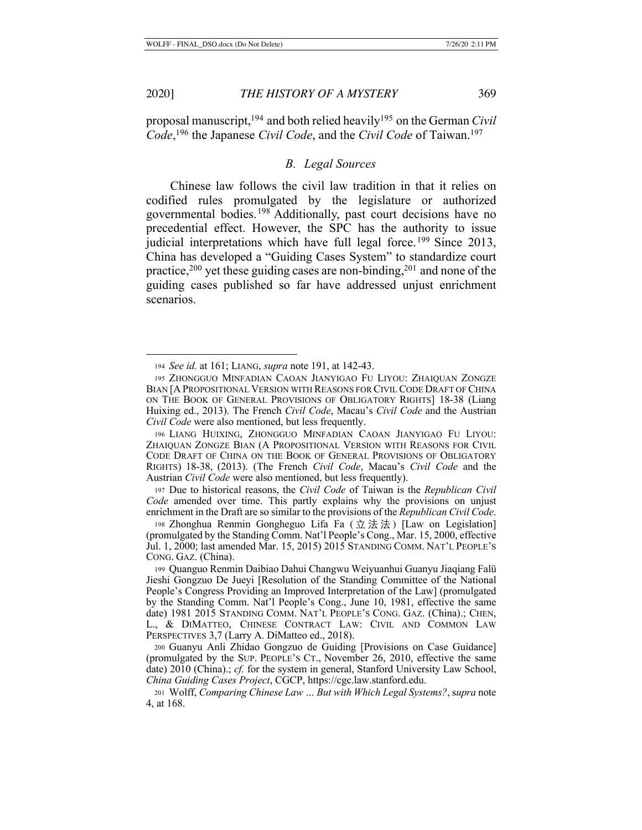proposal manuscript,194 and both relied heavily195 on the German *Civil Code*, 196 the Japanese *Civil Code*, and the *Civil Code* of Taiwan.197

# *B. Legal Sources*

Chinese law follows the civil law tradition in that it relies on codified rules promulgated by the legislature or authorized governmental bodies.198 Additionally, past court decisions have no precedential effect. However, the SPC has the authority to issue judicial interpretations which have full legal force.<sup>199</sup> Since 2013, China has developed a "Guiding Cases System" to standardize court practice,<sup>200</sup> yet these guiding cases are non-binding,<sup>201</sup> and none of the guiding cases published so far have addressed unjust enrichment scenarios.

<sup>197</sup> Due to historical reasons, the *Civil Code* of Taiwan is the *Republican Civil Code* amended over time. This partly explains why the provisions on unjust enrichment in the Draft are so similar to the provisions of the *Republican Civil Code*.

<sup>194</sup> *See id.* at 161; LIANG, *supra* note 191, at 142-43.

<sup>195</sup> ZHONGGUO MINFADIAN CAOAN JIANYIGAO FU LIYOU: ZHAIQUAN ZONGZE BIAN [A PROPOSITIONAL VERSION WITH REASONS FOR CIVIL CODE DRAFT OF CHINA ON THE BOOK OF GENERAL PROVISIONS OF OBLIGATORY RIGHTS] 18-38 (Liang Huixing ed., 2013). The French *Civil Code*, Macau's *Civil Code* and the Austrian *Civil Code* were also mentioned, but less frequently.

<sup>196</sup> LIANG HUIXING, ZHONGGUO MINFADIAN CAOAN JIANYIGAO FU LIYOU: ZHAIQUAN ZONGZE BIAN (A PROPOSITIONAL VERSION WITH REASONS FOR CIVIL CODE DRAFT OF CHINA ON THE BOOK OF GENERAL PROVISIONS OF OBLIGATORY RIGHTS) 18-38, (2013). (The French *Civil Code*, Macau's *Civil Code* and the Austrian *Civil Code* were also mentioned, but less frequently).

<sup>198</sup> Zhonghua Renmin Gongheguo Lifa Fa ( 立法法 ) [Law on Legislation] (promulgated by the Standing Comm. Nat'l People's Cong., Mar. 15, 2000, effective Jul. 1, 2000; last amended Mar. 15, 2015) 2015 STANDING COMM. NAT'L PEOPLE'S CONG. GAZ. (China).

<sup>199</sup> Quanguo Renmin Daibiao Dahui Changwu Weiyuanhui Guanyu Jiaqiang Falü Jieshi Gongzuo De Jueyi [Resolution of the Standing Committee of the National People's Congress Providing an Improved Interpretation of the Law] (promulgated by the Standing Comm. Nat'l People's Cong., June 10, 1981, effective the same date) 1981 2015 STANDING COMM. NAT'L PEOPLE'S CONG. GAZ. (China).; CHEN, L., & DIMATTEO, CHINESE CONTRACT LAW: CIVIL AND COMMON LAW PERSPECTIVES 3,7 (Larry A. DiMatteo ed., 2018).

<sup>200</sup> Guanyu Anli Zhidao Gongzuo de Guiding [Provisions on Case Guidance] (promulgated by the SUP. PEOPLE'S CT., November 26, 2010, effective the same date) 2010 (China).; *cf.* for the system in general, Stanford University Law School, *China Guiding Cases Project*, CGCP, https://cgc.law.stanford.edu.

<sup>201</sup> Wolff, *Comparing Chinese Law … But with Which Legal Systems?*, s*upra* note 4, at 168.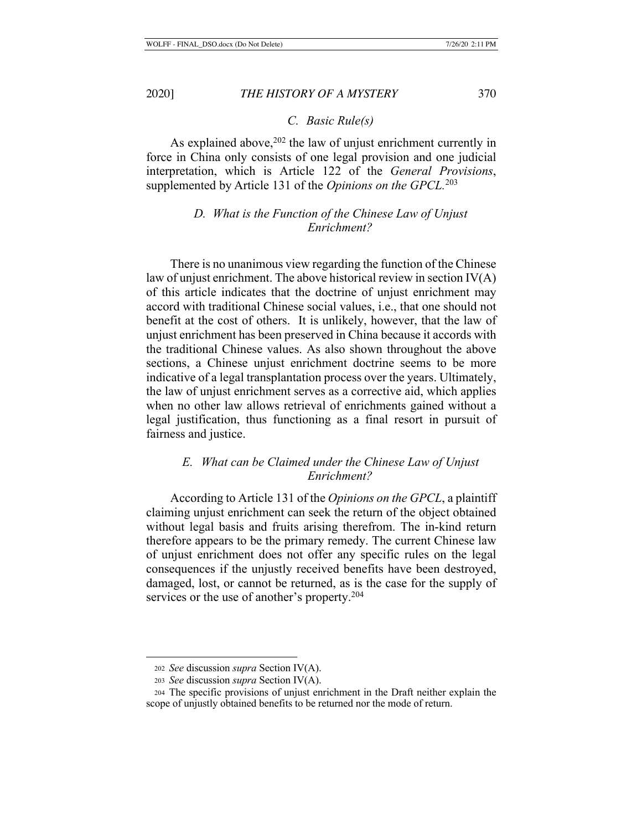*C. Basic Rule(s)* 

As explained above,<sup>202</sup> the law of unjust enrichment currently in force in China only consists of one legal provision and one judicial interpretation, which is Article 122 of the *General Provisions*, supplemented by Article 131 of the *Opinions on the GPCL.*<sup>203</sup>

# *D. What is the Function of the Chinese Law of Unjust Enrichment?*

 There is no unanimous view regarding the function of the Chinese law of unjust enrichment. The above historical review in section  $IV(A)$ of this article indicates that the doctrine of unjust enrichment may accord with traditional Chinese social values, i.e., that one should not benefit at the cost of others. It is unlikely, however, that the law of unjust enrichment has been preserved in China because it accords with the traditional Chinese values. As also shown throughout the above sections, a Chinese unjust enrichment doctrine seems to be more indicative of a legal transplantation process over the years. Ultimately, the law of unjust enrichment serves as a corrective aid, which applies when no other law allows retrieval of enrichments gained without a legal justification, thus functioning as a final resort in pursuit of fairness and justice.

# *E. What can be Claimed under the Chinese Law of Unjust Enrichment?*

According to Article 131 of the *Opinions on the GPCL*, a plaintiff claiming unjust enrichment can seek the return of the object obtained without legal basis and fruits arising therefrom. The in-kind return therefore appears to be the primary remedy. The current Chinese law of unjust enrichment does not offer any specific rules on the legal consequences if the unjustly received benefits have been destroyed, damaged, lost, or cannot be returned, as is the case for the supply of services or the use of another's property.<sup>204</sup>

<sup>202</sup> *See* discussion *supra* Section IV(A).

<sup>203</sup> *See* discussion *supra* Section IV(A).

<sup>204</sup> The specific provisions of unjust enrichment in the Draft neither explain the scope of unjustly obtained benefits to be returned nor the mode of return.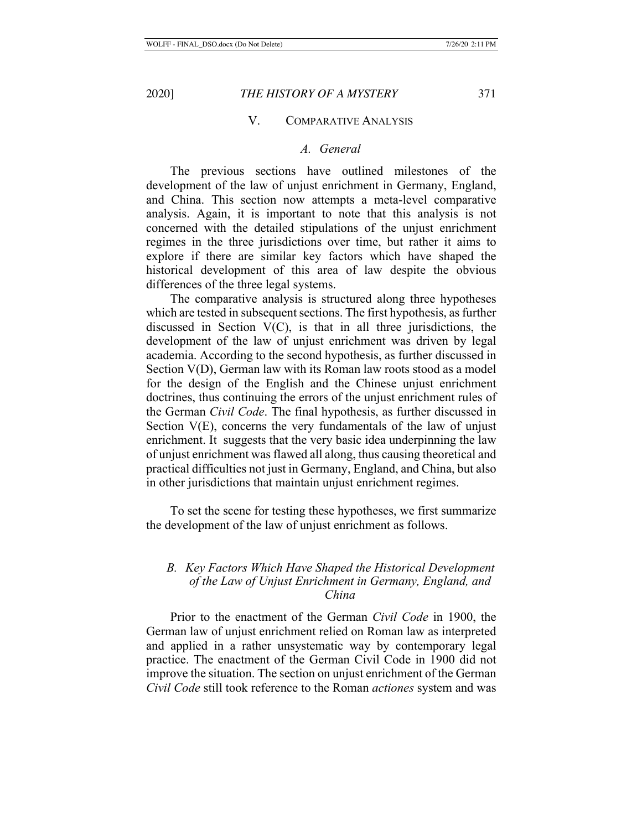## V. COMPARATIVE ANALYSIS

# *A. General*

The previous sections have outlined milestones of the development of the law of unjust enrichment in Germany, England, and China. This section now attempts a meta-level comparative analysis. Again, it is important to note that this analysis is not concerned with the detailed stipulations of the unjust enrichment regimes in the three jurisdictions over time, but rather it aims to explore if there are similar key factors which have shaped the historical development of this area of law despite the obvious differences of the three legal systems.

The comparative analysis is structured along three hypotheses which are tested in subsequent sections. The first hypothesis, as further discussed in Section V(C), is that in all three jurisdictions, the development of the law of unjust enrichment was driven by legal academia. According to the second hypothesis, as further discussed in Section V(D), German law with its Roman law roots stood as a model for the design of the English and the Chinese unjust enrichment doctrines, thus continuing the errors of the unjust enrichment rules of the German *Civil Code*. The final hypothesis, as further discussed in Section V(E), concerns the very fundamentals of the law of unjust enrichment. It suggests that the very basic idea underpinning the law of unjust enrichment was flawed all along, thus causing theoretical and practical difficulties not just in Germany, England, and China, but also in other jurisdictions that maintain unjust enrichment regimes.

To set the scene for testing these hypotheses, we first summarize the development of the law of unjust enrichment as follows.

# *B. Key Factors Which Have Shaped the Historical Development of the Law of Unjust Enrichment in Germany, England, and China*

Prior to the enactment of the German *Civil Code* in 1900, the German law of unjust enrichment relied on Roman law as interpreted and applied in a rather unsystematic way by contemporary legal practice. The enactment of the German Civil Code in 1900 did not improve the situation. The section on unjust enrichment of the German *Civil Code* still took reference to the Roman *actiones* system and was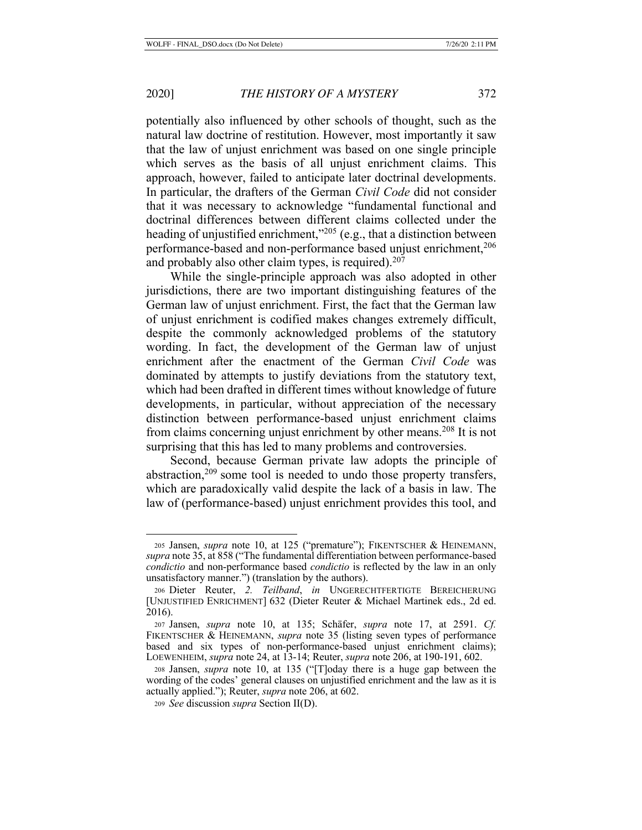potentially also influenced by other schools of thought, such as the natural law doctrine of restitution. However, most importantly it saw that the law of unjust enrichment was based on one single principle which serves as the basis of all unjust enrichment claims. This approach, however, failed to anticipate later doctrinal developments. In particular, the drafters of the German *Civil Code* did not consider that it was necessary to acknowledge "fundamental functional and doctrinal differences between different claims collected under the heading of unjustified enrichment,<sup>3205</sup> (e.g., that a distinction between performance-based and non-performance based unjust enrichment,<sup>206</sup> and probably also other claim types, is required).<sup>207</sup>

While the single-principle approach was also adopted in other jurisdictions, there are two important distinguishing features of the German law of unjust enrichment. First, the fact that the German law of unjust enrichment is codified makes changes extremely difficult, despite the commonly acknowledged problems of the statutory wording. In fact, the development of the German law of unjust enrichment after the enactment of the German *Civil Code* was dominated by attempts to justify deviations from the statutory text, which had been drafted in different times without knowledge of future developments, in particular, without appreciation of the necessary distinction between performance-based unjust enrichment claims from claims concerning unjust enrichment by other means.<sup>208</sup> It is not surprising that this has led to many problems and controversies.

Second, because German private law adopts the principle of abstraction, $209$  some tool is needed to undo those property transfers, which are paradoxically valid despite the lack of a basis in law. The law of (performance-based) unjust enrichment provides this tool, and

<sup>205</sup> Jansen, *supra* note 10, at 125 ("premature"); FIKENTSCHER & HEINEMANN, *supra* note 35, at 858 ("The fundamental differentiation between performance-based *condictio* and non-performance based *condictio* is reflected by the law in an only unsatisfactory manner.") (translation by the authors).

<sup>206</sup> Dieter Reuter, *2. Teilband*, *in* UNGERECHTFERTIGTE BEREICHERUNG [UNJUSTIFIED ENRICHMENT] 632 (Dieter Reuter & Michael Martinek eds., 2d ed. 2016).

<sup>207</sup> Jansen, *supra* note 10, at 135; Schäfer, *supra* note 17, at 2591. *Cf.*  FIKENTSCHER & HEINEMANN, *supra* note 35 (listing seven types of performance based and six types of non-performance-based unjust enrichment claims); LOEWENHEIM, *supra* note 24, at 13-14; Reuter, *supra* note 206, at 190-191, 602.

<sup>208</sup> Jansen, *supra* note 10, at 135 ("[T]oday there is a huge gap between the wording of the codes' general clauses on unjustified enrichment and the law as it is actually applied."); Reuter, *supra* note 206, at 602.

<sup>209</sup> *See* discussion *supra* Section II(D).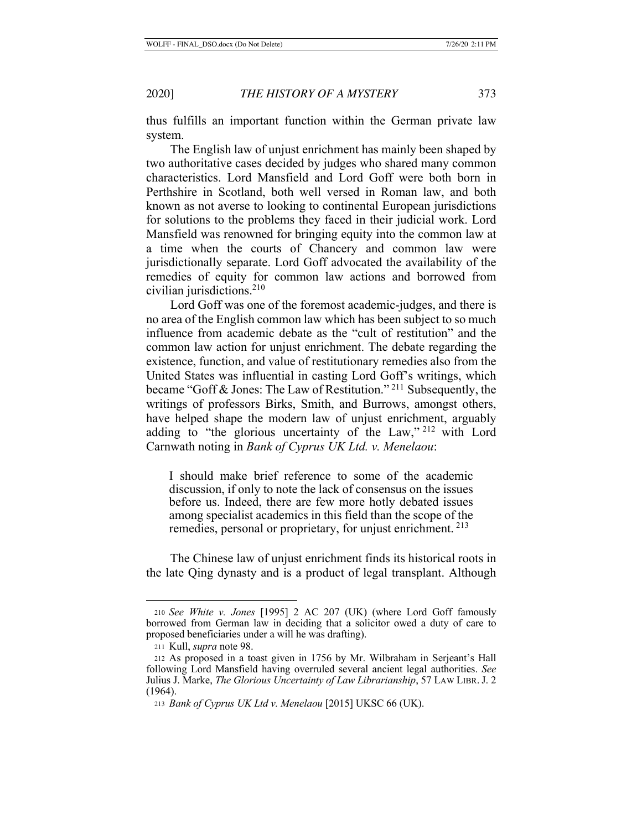thus fulfills an important function within the German private law system.

The English law of unjust enrichment has mainly been shaped by two authoritative cases decided by judges who shared many common characteristics. Lord Mansfield and Lord Goff were both born in Perthshire in Scotland, both well versed in Roman law, and both known as not averse to looking to continental European jurisdictions for solutions to the problems they faced in their judicial work. Lord Mansfield was renowned for bringing equity into the common law at a time when the courts of Chancery and common law were jurisdictionally separate. Lord Goff advocated the availability of the remedies of equity for common law actions and borrowed from civilian jurisdictions.210

Lord Goff was one of the foremost academic-judges, and there is no area of the English common law which has been subject to so much influence from academic debate as the "cult of restitution" and the common law action for unjust enrichment. The debate regarding the existence, function, and value of restitutionary remedies also from the United States was influential in casting Lord Goff's writings, which became "Goff & Jones: The Law of Restitution." 211 Subsequently, the writings of professors Birks, Smith, and Burrows, amongst others, have helped shape the modern law of unjust enrichment, arguably adding to "the glorious uncertainty of the Law," 212 with Lord Carnwath noting in *Bank of Cyprus UK Ltd. v. Menelaou*:

I should make brief reference to some of the academic discussion, if only to note the lack of consensus on the issues before us. Indeed, there are few more hotly debated issues among specialist academics in this field than the scope of the remedies, personal or proprietary, for unjust enrichment.<sup>213</sup>

The Chinese law of unjust enrichment finds its historical roots in the late Qing dynasty and is a product of legal transplant. Although

<sup>210</sup> *See White v. Jones* [1995] 2 AC 207 (UK) (where Lord Goff famously borrowed from German law in deciding that a solicitor owed a duty of care to proposed beneficiaries under a will he was drafting).

<sup>211</sup> Kull, *supra* note 98.

<sup>212</sup> As proposed in a toast given in 1756 by Mr. Wilbraham in Serjeant's Hall following Lord Mansfield having overruled several ancient legal authorities. *See*  Julius J. Marke, *The Glorious Uncertainty of Law Librarianship*, 57 LAW LIBR. J. 2 (1964).

<sup>213</sup> *Bank of Cyprus UK Ltd v. Menelaou* [2015] UKSC 66 (UK).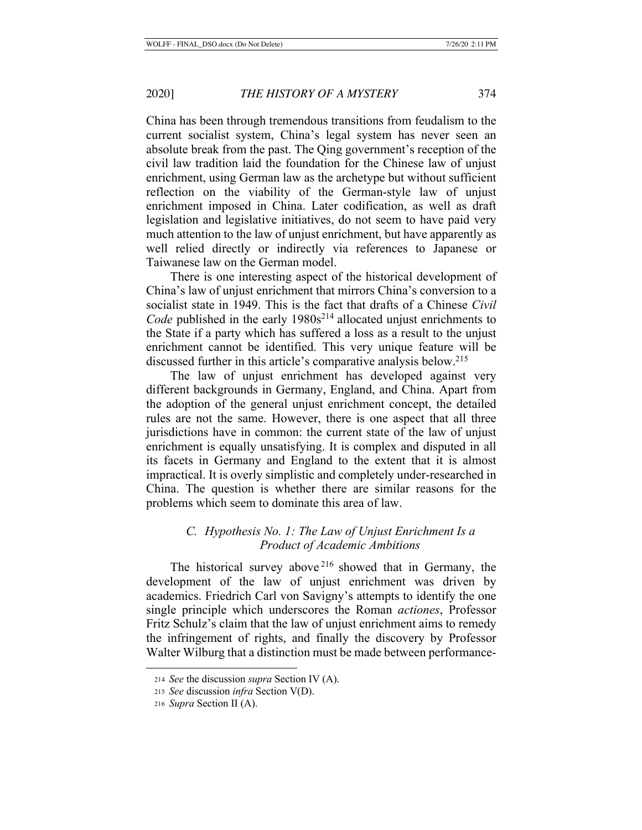China has been through tremendous transitions from feudalism to the current socialist system, China's legal system has never seen an absolute break from the past. The Qing government's reception of the civil law tradition laid the foundation for the Chinese law of unjust enrichment, using German law as the archetype but without sufficient reflection on the viability of the German-style law of unjust enrichment imposed in China. Later codification, as well as draft legislation and legislative initiatives, do not seem to have paid very much attention to the law of unjust enrichment, but have apparently as well relied directly or indirectly via references to Japanese or Taiwanese law on the German model.

There is one interesting aspect of the historical development of China's law of unjust enrichment that mirrors China's conversion to a socialist state in 1949. This is the fact that drafts of a Chinese *Civil Code* published in the early 1980s<sup>214</sup> allocated unjust enrichments to the State if a party which has suffered a loss as a result to the unjust enrichment cannot be identified. This very unique feature will be discussed further in this article's comparative analysis below.<sup>215</sup>

The law of unjust enrichment has developed against very different backgrounds in Germany, England, and China. Apart from the adoption of the general unjust enrichment concept, the detailed rules are not the same. However, there is one aspect that all three jurisdictions have in common: the current state of the law of unjust enrichment is equally unsatisfying. It is complex and disputed in all its facets in Germany and England to the extent that it is almost impractical. It is overly simplistic and completely under-researched in China. The question is whether there are similar reasons for the problems which seem to dominate this area of law.

# *C. Hypothesis No. 1: The Law of Unjust Enrichment Is a Product of Academic Ambitions*

The historical survey above  $216$  showed that in Germany, the development of the law of unjust enrichment was driven by academics. Friedrich Carl von Savigny's attempts to identify the one single principle which underscores the Roman *actiones*, Professor Fritz Schulz's claim that the law of unjust enrichment aims to remedy the infringement of rights, and finally the discovery by Professor Walter Wilburg that a distinction must be made between performance-

<sup>214</sup> *See* the discussion *supra* Section IV (A).

<sup>215</sup> *See* discussion *infra* Section V(D).

<sup>216</sup> *Supra* Section II (A).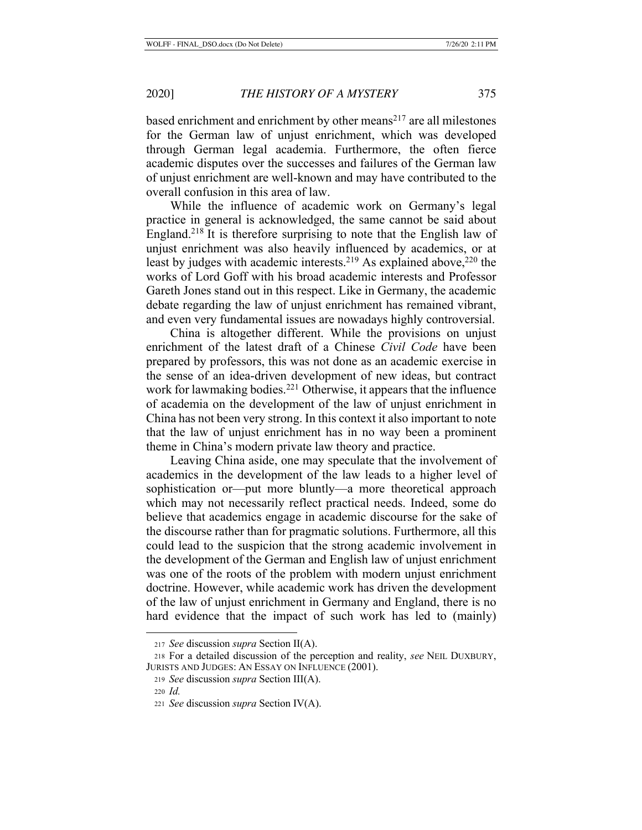based enrichment and enrichment by other means $^{217}$  are all milestones for the German law of unjust enrichment, which was developed through German legal academia. Furthermore, the often fierce academic disputes over the successes and failures of the German law of unjust enrichment are well-known and may have contributed to the overall confusion in this area of law.

While the influence of academic work on Germany's legal practice in general is acknowledged, the same cannot be said about England.218 It is therefore surprising to note that the English law of unjust enrichment was also heavily influenced by academics, or at least by judges with academic interests.<sup>219</sup> As explained above,<sup>220</sup> the works of Lord Goff with his broad academic interests and Professor Gareth Jones stand out in this respect. Like in Germany, the academic debate regarding the law of unjust enrichment has remained vibrant, and even very fundamental issues are nowadays highly controversial.

China is altogether different. While the provisions on unjust enrichment of the latest draft of a Chinese *Civil Code* have been prepared by professors, this was not done as an academic exercise in the sense of an idea-driven development of new ideas, but contract work for lawmaking bodies.<sup>221</sup> Otherwise, it appears that the influence of academia on the development of the law of unjust enrichment in China has not been very strong. In this context it also important to note that the law of unjust enrichment has in no way been a prominent theme in China's modern private law theory and practice.

Leaving China aside, one may speculate that the involvement of academics in the development of the law leads to a higher level of sophistication or—put more bluntly—a more theoretical approach which may not necessarily reflect practical needs. Indeed, some do believe that academics engage in academic discourse for the sake of the discourse rather than for pragmatic solutions. Furthermore, all this could lead to the suspicion that the strong academic involvement in the development of the German and English law of unjust enrichment was one of the roots of the problem with modern unjust enrichment doctrine. However, while academic work has driven the development of the law of unjust enrichment in Germany and England, there is no hard evidence that the impact of such work has led to (mainly)

<sup>217</sup> *See* discussion *supra* Section II(A).

<sup>218</sup> For a detailed discussion of the perception and reality, *see* NEIL DUXBURY, JURISTS AND JUDGES: AN ESSAY ON INFLUENCE (2001).

<sup>219</sup> *See* discussion *supra* Section III(A).

<sup>220</sup> *Id.*

<sup>221</sup> *See* discussion *supra* Section IV(A).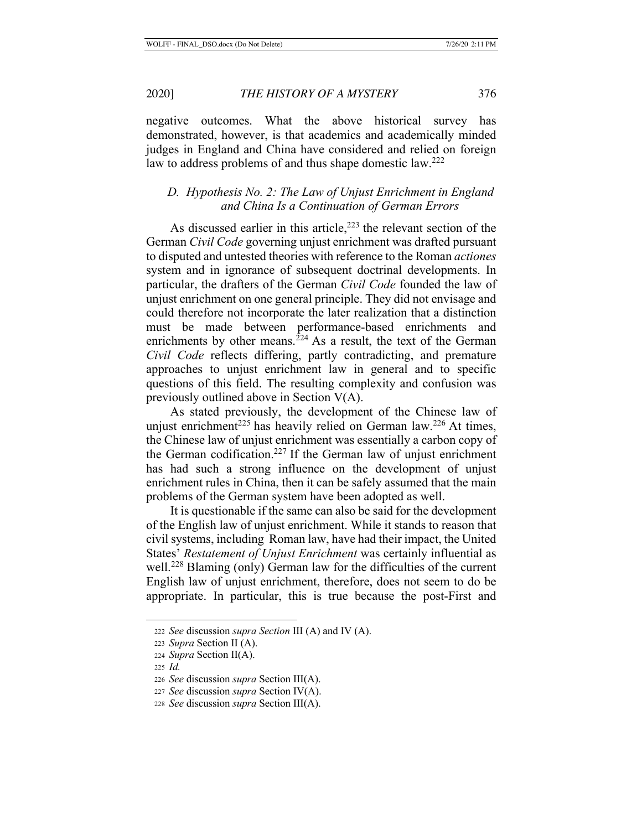negative outcomes. What the above historical survey has demonstrated, however, is that academics and academically minded judges in England and China have considered and relied on foreign law to address problems of and thus shape domestic law.<sup>222</sup>

# *D. Hypothesis No. 2: The Law of Unjust Enrichment in England and China Is a Continuation of German Errors*

As discussed earlier in this article,<sup>223</sup> the relevant section of the German *Civil Code* governing unjust enrichment was drafted pursuant to disputed and untested theories with reference to the Roman *actiones*  system and in ignorance of subsequent doctrinal developments. In particular, the drafters of the German *Civil Code* founded the law of unjust enrichment on one general principle. They did not envisage and could therefore not incorporate the later realization that a distinction must be made between performance-based enrichments and enrichments by other means.<sup>224</sup> As a result, the text of the German *Civil Code* reflects differing, partly contradicting, and premature approaches to unjust enrichment law in general and to specific questions of this field. The resulting complexity and confusion was previously outlined above in Section V(A).

As stated previously, the development of the Chinese law of unjust enrichment<sup>225</sup> has heavily relied on German law.<sup>226</sup> At times, the Chinese law of unjust enrichment was essentially a carbon copy of the German codification.<sup>227</sup> If the German law of unjust enrichment has had such a strong influence on the development of unjust enrichment rules in China, then it can be safely assumed that the main problems of the German system have been adopted as well.

It is questionable if the same can also be said for the development of the English law of unjust enrichment. While it stands to reason that civil systems, including Roman law, have had their impact, the United States' *Restatement of Unjust Enrichment* was certainly influential as well.<sup>228</sup> Blaming (only) German law for the difficulties of the current English law of unjust enrichment, therefore, does not seem to do be appropriate. In particular, this is true because the post-First and

<sup>222</sup> *See* discussion *supra Section* III (A) and IV (A).

<sup>223</sup> *Supra* Section II (A).

<sup>224</sup> *Supra* Section II(A).

<sup>225</sup> *Id.*

<sup>226</sup> *See* discussion *supra* Section III(A).

<sup>227</sup> *See* discussion *supra* Section IV(A).

<sup>228</sup> *See* discussion *supra* Section III(A).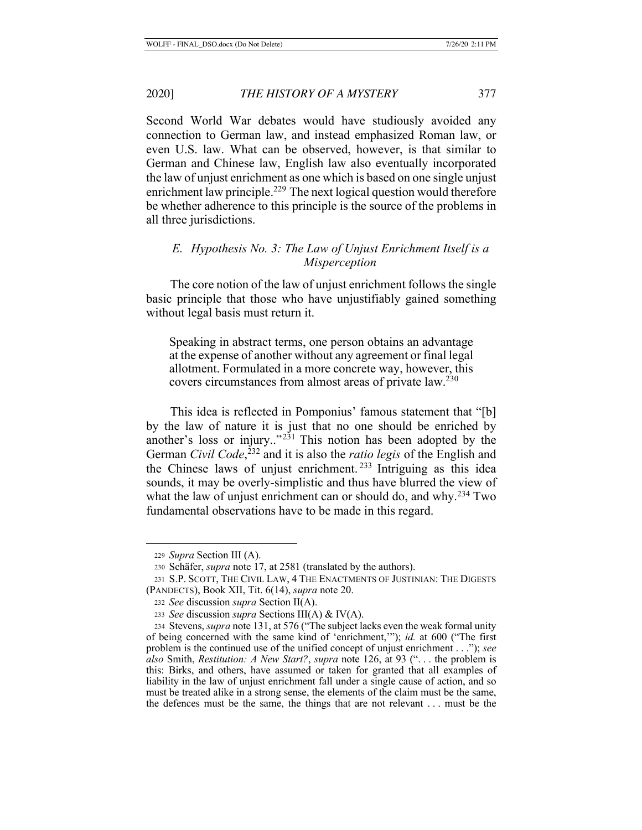Second World War debates would have studiously avoided any connection to German law, and instead emphasized Roman law, or even U.S. law. What can be observed, however, is that similar to German and Chinese law, English law also eventually incorporated the law of unjust enrichment as one which is based on one single unjust enrichment law principle.<sup>229</sup> The next logical question would therefore be whether adherence to this principle is the source of the problems in all three jurisdictions.

# *E. Hypothesis No. 3: The Law of Unjust Enrichment Itself is a Misperception*

The core notion of the law of unjust enrichment follows the single basic principle that those who have unjustifiably gained something without legal basis must return it.

Speaking in abstract terms, one person obtains an advantage at the expense of another without any agreement or final legal allotment. Formulated in a more concrete way, however, this covers circumstances from almost areas of private law.230

This idea is reflected in Pomponius' famous statement that "[b] by the law of nature it is just that no one should be enriched by another's loss or injury.."231 This notion has been adopted by the German *Civil Code*, <sup>232</sup> and it is also the *ratio legis* of the English and the Chinese laws of unjust enrichment. 233 Intriguing as this idea sounds, it may be overly-simplistic and thus have blurred the view of what the law of unjust enrichment can or should do, and why.<sup>234</sup> Two fundamental observations have to be made in this regard.

<sup>229</sup> *Supra* Section III (A).

<sup>230</sup> Schäfer, *supra* note 17, at 2581 (translated by the authors).

<sup>231</sup> S.P. SCOTT, THE CIVIL LAW, 4 THE ENACTMENTS OF JUSTINIAN: THE DIGESTS (PANDECTS), Book XII, Tit. 6(14), *supra* note 20.

<sup>232</sup> *See* discussion *supra* Section II(A).

<sup>233</sup> *See* discussion *supra* Sections III(A) & IV(A).

<sup>234</sup> Stevens, *supra* note 131, at 576 ("The subject lacks even the weak formal unity of being concerned with the same kind of 'enrichment,'"); *id.* at 600 ("The first problem is the continued use of the unified concept of unjust enrichment . . ."); *see also* Smith, *Restitution: A New Start?*, *supra* note 126, at 93 (". . . the problem is this: Birks, and others, have assumed or taken for granted that all examples of liability in the law of unjust enrichment fall under a single cause of action, and so must be treated alike in a strong sense, the elements of the claim must be the same, the defences must be the same, the things that are not relevant . . . must be the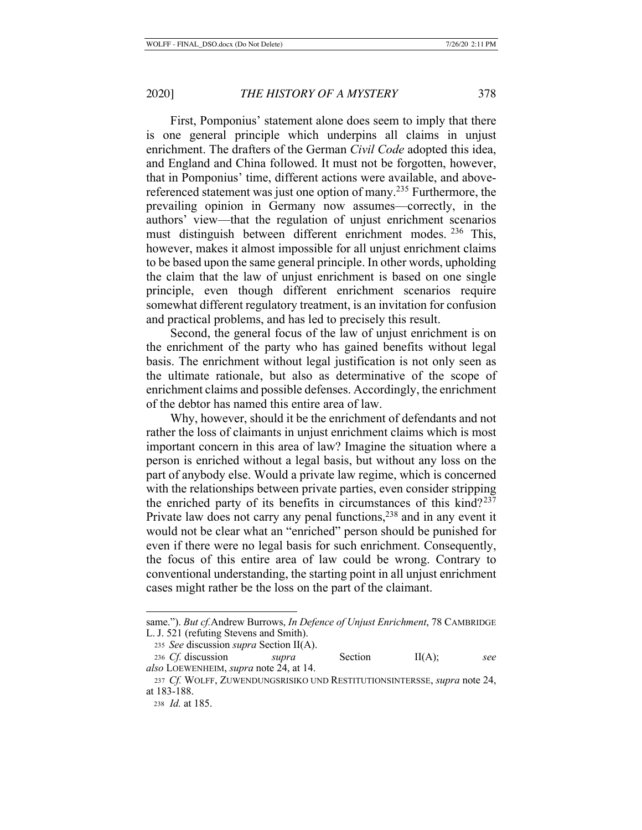First, Pomponius' statement alone does seem to imply that there is one general principle which underpins all claims in unjust enrichment. The drafters of the German *Civil Code* adopted this idea, and England and China followed. It must not be forgotten, however, that in Pomponius' time, different actions were available, and abovereferenced statement was just one option of many.<sup>235</sup> Furthermore, the prevailing opinion in Germany now assumes—correctly, in the authors' view—that the regulation of unjust enrichment scenarios must distinguish between different enrichment modes. <sup>236</sup> This, however, makes it almost impossible for all unjust enrichment claims to be based upon the same general principle. In other words, upholding the claim that the law of unjust enrichment is based on one single principle, even though different enrichment scenarios require somewhat different regulatory treatment, is an invitation for confusion and practical problems, and has led to precisely this result.

Second, the general focus of the law of unjust enrichment is on the enrichment of the party who has gained benefits without legal basis. The enrichment without legal justification is not only seen as the ultimate rationale, but also as determinative of the scope of enrichment claims and possible defenses. Accordingly, the enrichment of the debtor has named this entire area of law.

Why, however, should it be the enrichment of defendants and not rather the loss of claimants in unjust enrichment claims which is most important concern in this area of law? Imagine the situation where a person is enriched without a legal basis, but without any loss on the part of anybody else. Would a private law regime, which is concerned with the relationships between private parties, even consider stripping the enriched party of its benefits in circumstances of this  $\text{kind?}^{237}$ Private law does not carry any penal functions,  $238$  and in any event it would not be clear what an "enriched" person should be punished for even if there were no legal basis for such enrichment. Consequently, the focus of this entire area of law could be wrong. Contrary to conventional understanding, the starting point in all unjust enrichment cases might rather be the loss on the part of the claimant.

same."). *But cf.*Andrew Burrows, *In Defence of Unjust Enrichment*, 78 CAMBRIDGE L. J. 521 (refuting Stevens and Smith).

<sup>235</sup> *See* discussion *supra* Section II(A).

<sup>236</sup> *Cf.* discussion *supra* Section II(A); *see also* LOEWENHEIM, *supra* note 24, at 14.

<sup>237</sup> *Cf.* WOLFF, ZUWENDUNGSRISIKO UND RESTITUTIONSINTERSSE, *supra* note 24, at 183-188.

<sup>238</sup> *Id.* at 185.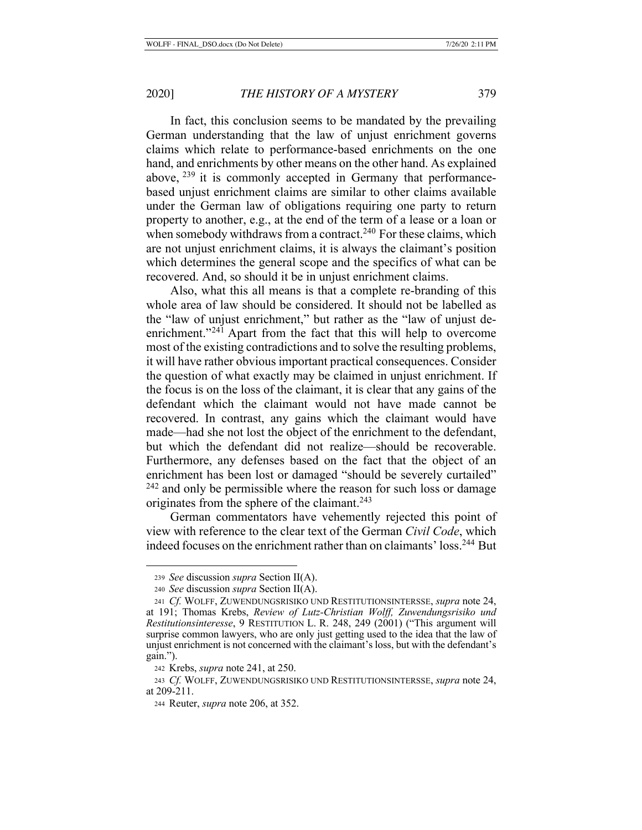In fact, this conclusion seems to be mandated by the prevailing German understanding that the law of unjust enrichment governs claims which relate to performance-based enrichments on the one hand, and enrichments by other means on the other hand. As explained above,  $^{239}$  it is commonly accepted in Germany that performancebased unjust enrichment claims are similar to other claims available under the German law of obligations requiring one party to return property to another, e.g., at the end of the term of a lease or a loan or when somebody withdraws from a contract.<sup>240</sup> For these claims, which are not unjust enrichment claims, it is always the claimant's position which determines the general scope and the specifics of what can be recovered. And, so should it be in unjust enrichment claims.

Also, what this all means is that a complete re-branding of this whole area of law should be considered. It should not be labelled as the "law of unjust enrichment," but rather as the "law of unjust deenrichment."<sup>241</sup> Apart from the fact that this will help to overcome most of the existing contradictions and to solve the resulting problems, it will have rather obvious important practical consequences. Consider the question of what exactly may be claimed in unjust enrichment. If the focus is on the loss of the claimant, it is clear that any gains of the defendant which the claimant would not have made cannot be recovered. In contrast, any gains which the claimant would have made—had she not lost the object of the enrichment to the defendant, but which the defendant did not realize—should be recoverable. Furthermore, any defenses based on the fact that the object of an enrichment has been lost or damaged "should be severely curtailed"  $242$  and only be permissible where the reason for such loss or damage originates from the sphere of the claimant.243

German commentators have vehemently rejected this point of view with reference to the clear text of the German *Civil Code*, which indeed focuses on the enrichment rather than on claimants' loss.244 But

<sup>239</sup> *See* discussion *supra* Section II(A).

<sup>240</sup> *See* discussion *supra* Section II(A).

<sup>241</sup> *Cf.* WOLFF, ZUWENDUNGSRISIKO UND RESTITUTIONSINTERSSE, *supra* note 24, at 191; Thomas Krebs, *Review of Lutz-Christian Wolff, Zuwendungsrisiko und Restitutionsinteresse*, 9 RESTITUTION L. R. 248, 249 (2001) ("This argument will surprise common lawyers, who are only just getting used to the idea that the law of unjust enrichment is not concerned with the claimant's loss, but with the defendant's gain.").

<sup>242</sup> Krebs, *supra* note 241, at 250.

<sup>243</sup> *Cf.* WOLFF, ZUWENDUNGSRISIKO UND RESTITUTIONSINTERSSE, *supra* note 24, at 209-211.

<sup>244</sup> Reuter, *supra* note 206, at 352.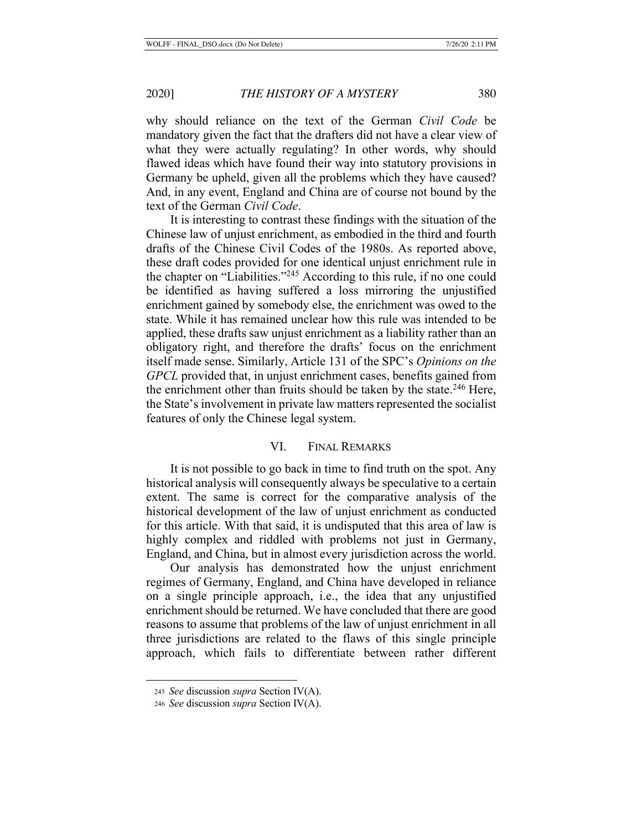why should reliance on the text of the German *Civil Code* be mandatory given the fact that the drafters did not have a clear view of what they were actually regulating? In other words, why should flawed ideas which have found their way into statutory provisions in Germany be upheld, given all the problems which they have caused? And, in any event, England and China are of course not bound by the text of the German *Civil Code*.

It is interesting to contrast these findings with the situation of the Chinese law of unjust enrichment, as embodied in the third and fourth drafts of the Chinese Civil Codes of the 1980s. As reported above, these draft codes provided for one identical unjust enrichment rule in the chapter on "Liabilities."245 According to this rule, if no one could be identified as having suffered a loss mirroring the unjustified enrichment gained by somebody else, the enrichment was owed to the state. While it has remained unclear how this rule was intended to be applied, these drafts saw unjust enrichment as a liability rather than an obligatory right, and therefore the drafts' focus on the enrichment itself made sense. Similarly, Article 131 of the SPC's *Opinions on the GPCL* provided that, in unjust enrichment cases, benefits gained from the enrichment other than fruits should be taken by the state. $246$  Here, the State's involvement in private law matters represented the socialist features of only the Chinese legal system.

# VI. FINAL REMARKS

It is not possible to go back in time to find truth on the spot. Any historical analysis will consequently always be speculative to a certain extent. The same is correct for the comparative analysis of the historical development of the law of unjust enrichment as conducted for this article. With that said, it is undisputed that this area of law is highly complex and riddled with problems not just in Germany, England, and China, but in almost every jurisdiction across the world.

Our analysis has demonstrated how the unjust enrichment regimes of Germany, England, and China have developed in reliance on a single principle approach, i.e., the idea that any unjustified enrichment should be returned. We have concluded that there are good reasons to assume that problems of the law of unjust enrichment in all three jurisdictions are related to the flaws of this single principle approach, which fails to differentiate between rather different

<sup>245</sup> *See* discussion *supra* Section IV(A).

<sup>246</sup> *See* discussion *supra* Section IV(A).